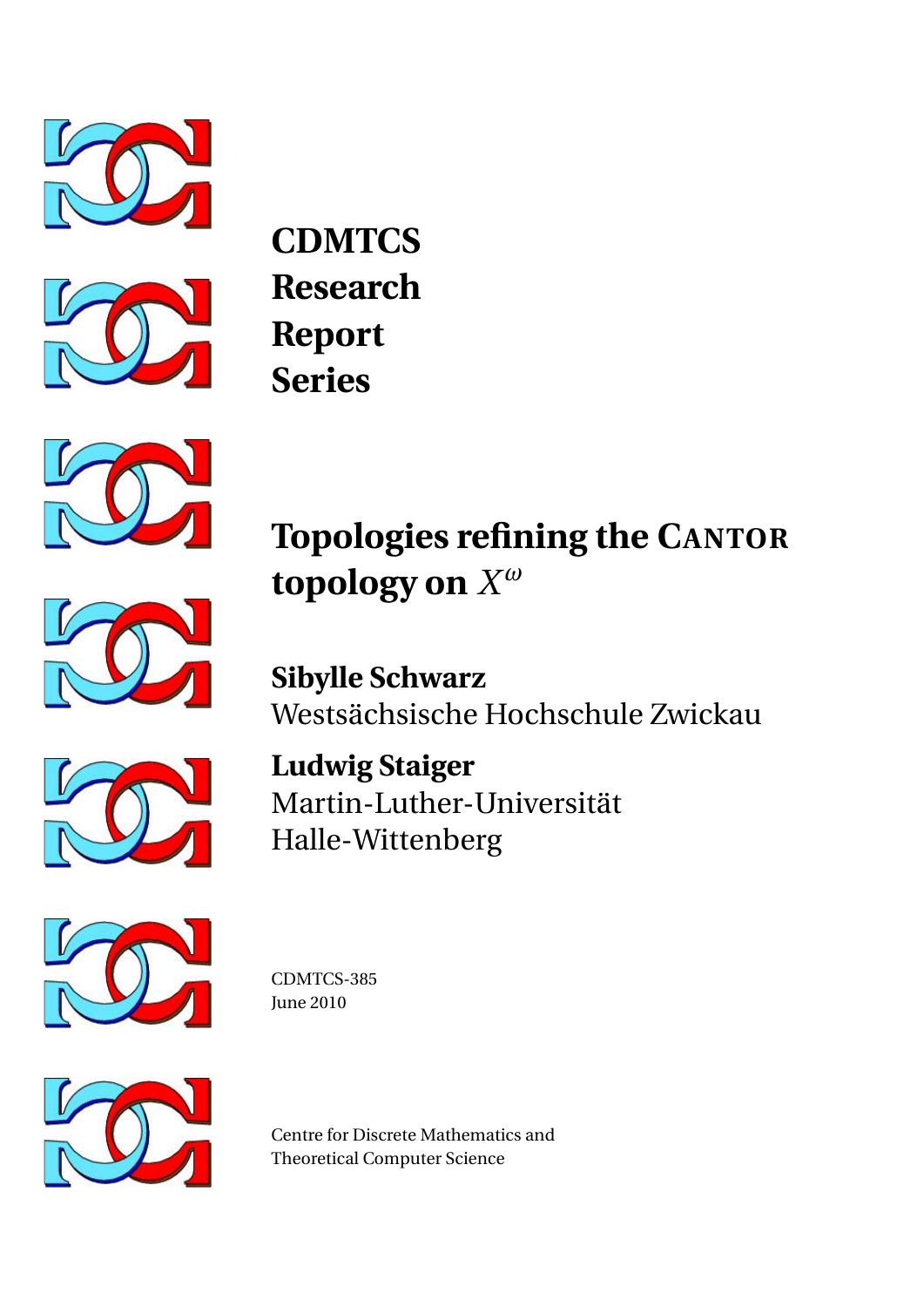



**CDMTCS Research Report Series**



**Topologies refining the CANTOR topology on** *X ω*

**Sibylle Schwarz** Westsächsische Hochschule Zwickau



**Ludwig Staiger** Martin-Luther-Universität Halle-Wittenberg



CDMTCS-385 June 2010



Centre for Discrete Mathematics and Theoretical Computer Science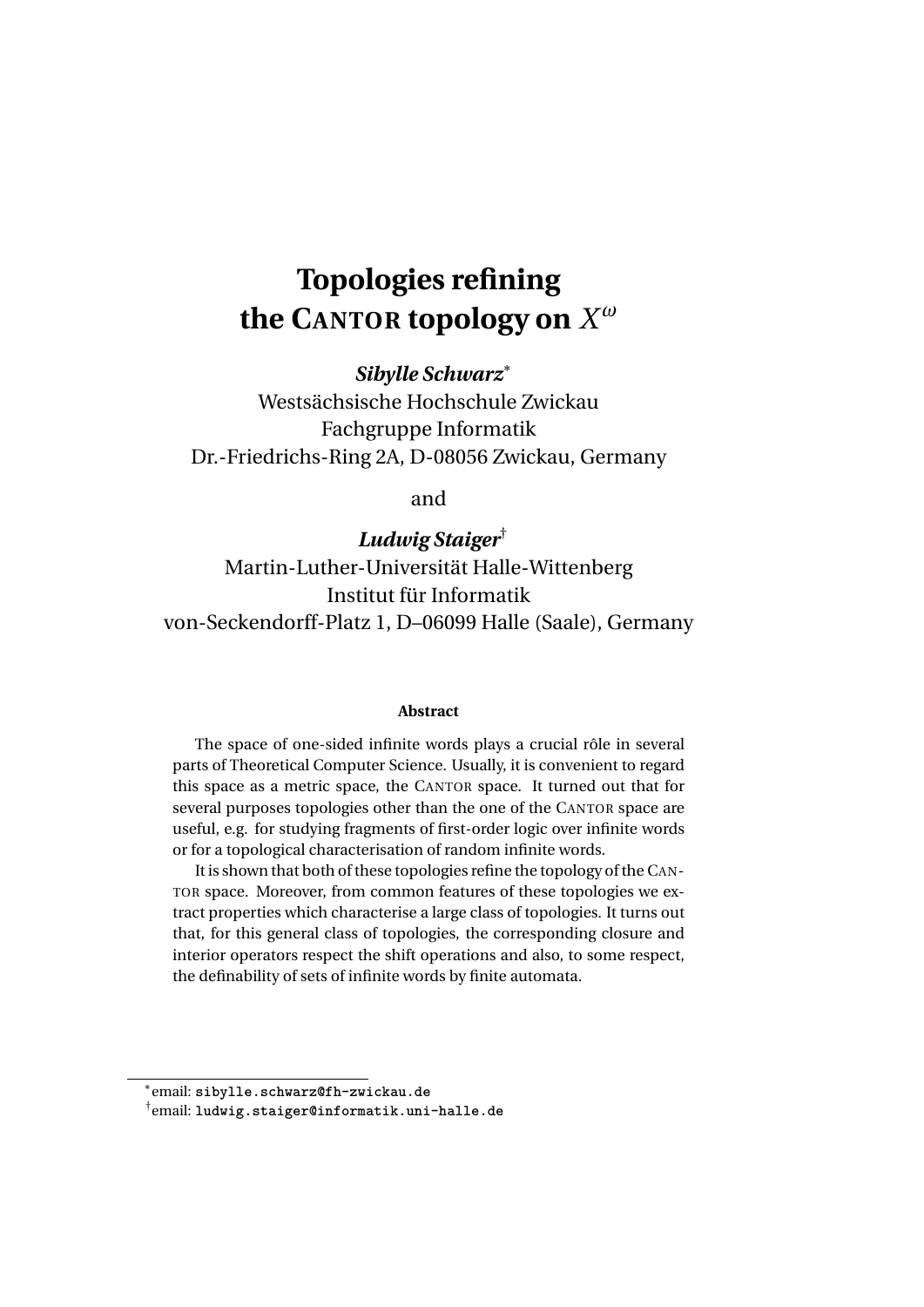# **Topologies refining the CANTOR topology on** *X ω*

*Sibylle Schwarz*<sup>∗</sup>

Westsächsische Hochschule Zwickau Fachgruppe Informatik Dr.-Friedrichs-Ring 2A, D-08056 Zwickau, Germany

and

*Ludwig Staiger*† Martin-Luther-Universität Halle-Wittenberg Institut für Informatik von-Seckendorff-Platz 1, D–06099 Halle (Saale), Germany

#### **Abstract**

The space of one-sided infinite words plays a crucial rôle in several parts of Theoretical Computer Science. Usually, it is convenient to regard this space as a metric space, the CANTOR space. It turned out that for several purposes topologies other than the one of the CANTOR space are useful, e.g. for studying fragments of first-order logic over infinite words or for a topological characterisation of random infinite words.

It is shown that both of these topologies refine the topology of the CAN-TOR space. Moreover, from common features of these topologies we extract properties which characterise a large class of topologies. It turns out that, for this general class of topologies, the corresponding closure and interior operators respect the shift operations and also, to some respect, the definability of sets of infinite words by finite automata.

<sup>∗</sup> email: sibylle.schwarz@fh-zwickau.de

 $^\dagger$ email: ludwig.staiger@informatik.uni-halle.de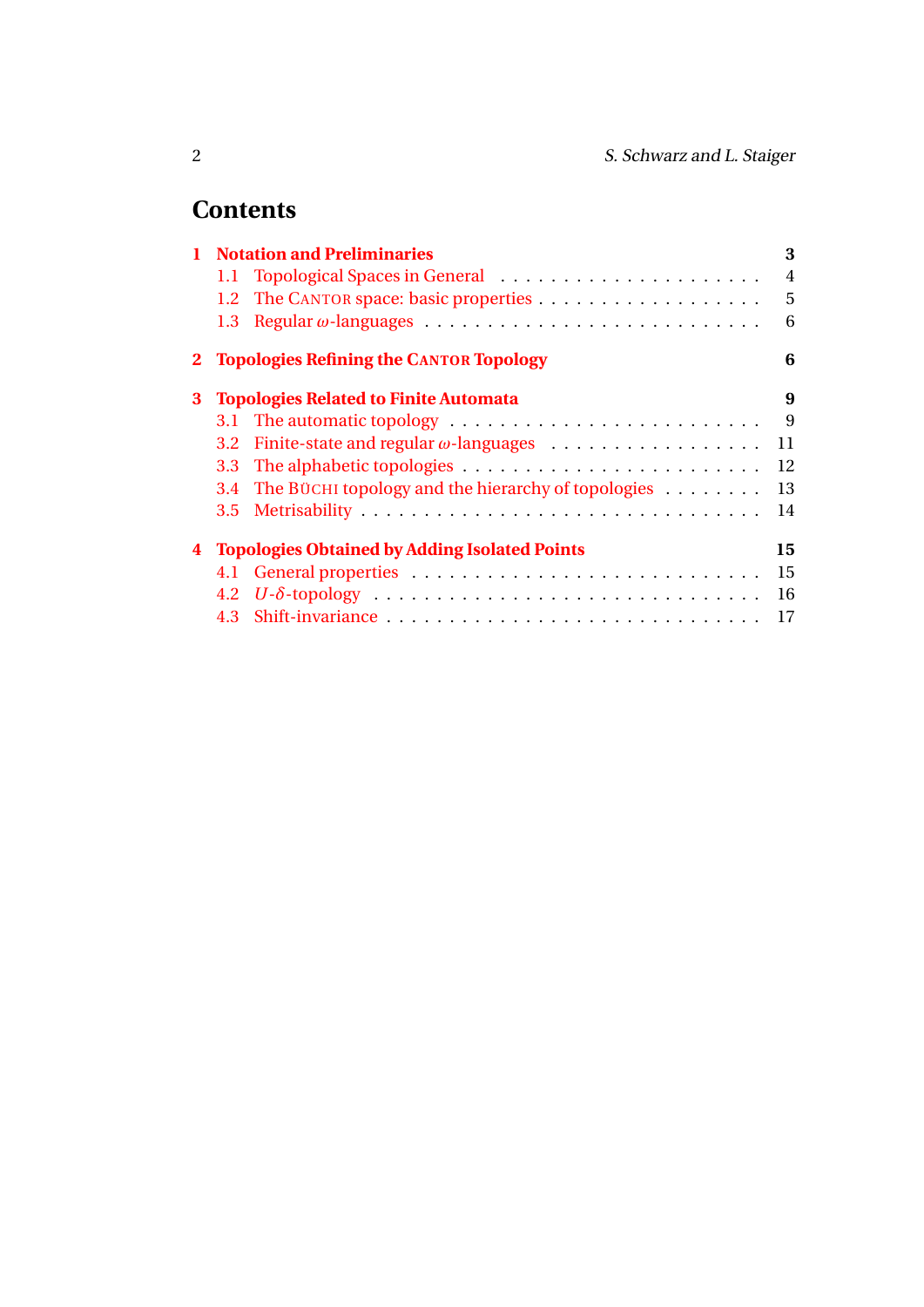# **Contents**

|   | <b>Notation and Preliminaries</b>                    |                                                        |                |
|---|------------------------------------------------------|--------------------------------------------------------|----------------|
|   |                                                      | 1.1 Topological Spaces in General                      | $\overline{4}$ |
|   |                                                      |                                                        | 5              |
|   | 1.3 <sup>°</sup>                                     |                                                        | 6              |
|   |                                                      | 2 Topologies Refining the CANTOR Topology              | 6              |
| 3 | <b>Topologies Related to Finite Automata</b>         |                                                        |                |
|   |                                                      |                                                        | 9              |
|   |                                                      |                                                        | 11             |
|   | 3.3 <sub>1</sub>                                     |                                                        | 12             |
|   |                                                      | 3.4 The BÜCHI topology and the hierarchy of topologies | 13             |
|   |                                                      |                                                        | 14             |
| 4 | <b>Topologies Obtained by Adding Isolated Points</b> |                                                        |                |
|   |                                                      |                                                        | 15             |
|   |                                                      |                                                        | 16             |
|   | 4.3                                                  |                                                        | 17             |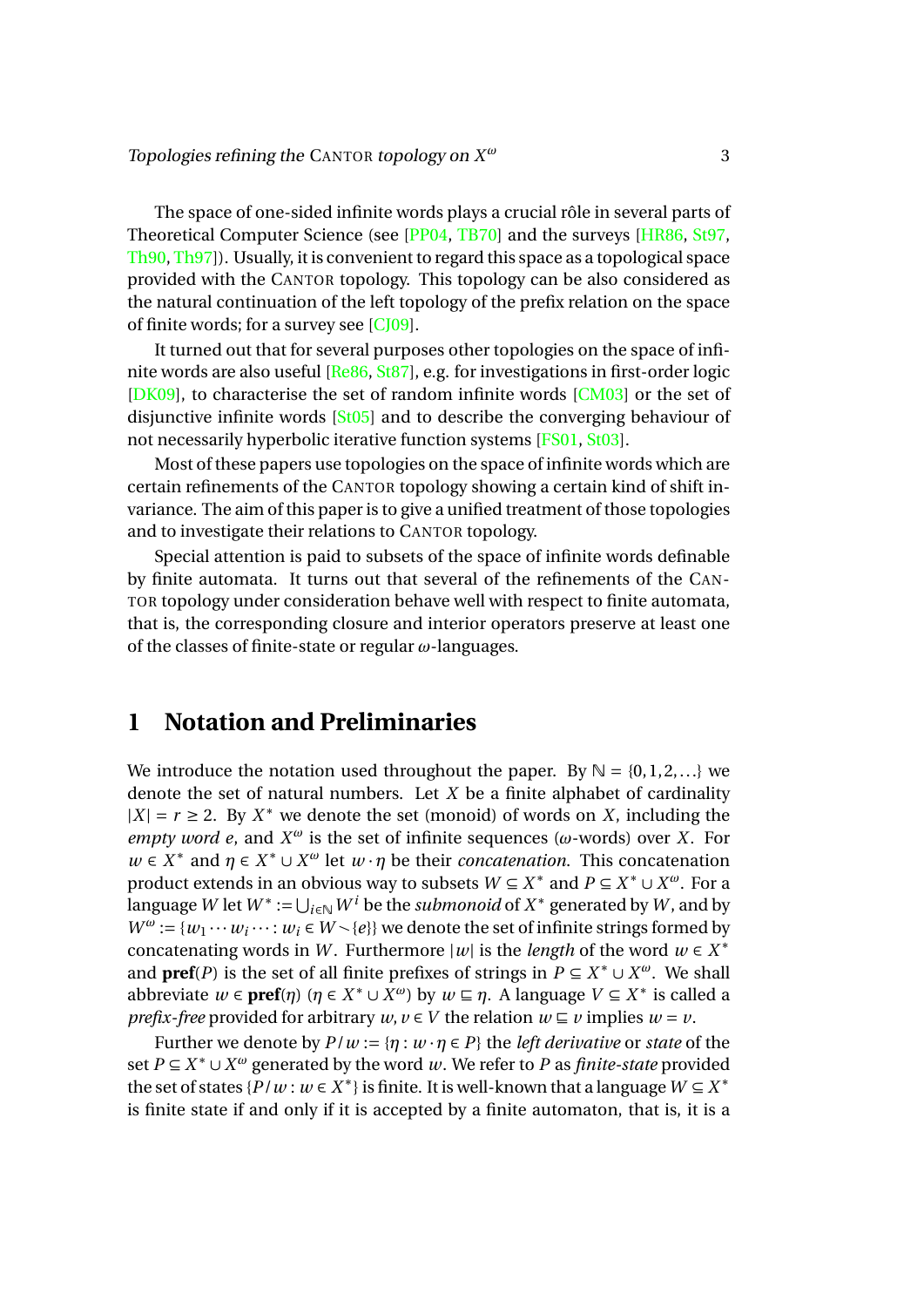The space of one-sided infinite words plays a crucial rôle in several parts of Theoretical Computer Science (see [\[PP04,](#page-18-0) [TB70\]](#page-19-0) and the surveys [\[HR86,](#page-18-1) [St97,](#page-18-2) [Th90,](#page-19-1) [Th97\]](#page-19-2)). Usually, it is convenient to regard this space as a topological space provided with the CANTOR topology. This topology can be also considered as the natural continuation of the left topology of the prefix relation on the space of finite words; for a survey see  $[CJ09]$ .

It turned out that for several purposes other topologies on the space of infinite words are also useful [\[Re86,](#page-18-4) [St87\]](#page-18-5), e.g. for investigations in first-order logic [\[DK09\]](#page-18-6), to characterise the set of random infinite words [\[CM03\]](#page-18-7) or the set of disjunctive infinite words [\[St05\]](#page-19-3) and to describe the converging behaviour of not necessarily hyperbolic iterative function systems [\[FS01,](#page-18-8) [St03\]](#page-19-4).

Most of these papers use topologies on the space of infinite words which are certain refinements of the CANTOR topology showing a certain kind of shift invariance. The aim of this paper is to give a unified treatment of those topologies and to investigate their relations to CANTOR topology.

Special attention is paid to subsets of the space of infinite words definable by finite automata. It turns out that several of the refinements of the CAN-TOR topology under consideration behave well with respect to finite automata, that is, the corresponding closure and interior operators preserve at least one of the classes of finite-state or regular *ω*-languages.

# <span id="page-3-0"></span>**1 Notation and Preliminaries**

We introduce the notation used throughout the paper. By  $\mathbb{N} = \{0, 1, 2, ...\}$  we denote the set of natural numbers. Let *X* be a finite alphabet of cardinality  $|X| = r \ge 2$ . By  $X^*$  we denote the set (monoid) of words on *X*, including the *empty word e*, and  $X^{\omega}$  is the set of infinite sequences ( $\omega$ -words) over *X*. For  $w \in X^*$  and  $\eta \in X^* \cup X^{\omega}$  let  $w \cdot \eta$  be their *concatenation*. This concatenation product extends in an obvious way to subsets  $W \subseteq X^*$  and  $P \subseteq X^* \cup X^{\omega}$ . For a  $\tilde{L}$ anguage  $W$  let  $W^*:=\bigcup_{i\in\mathbb{N}}W^i$  be the *submonoid* of  $X^*$  generated by  $W$ , and by  $W^{\omega} := \{w_1 \cdots w_i \cdots : w_i \in W \setminus \{e\}\}\$  we denote the set of infinite strings formed by concatenating words in *W*. Furthermore  $|w|$  is the *length* of the word  $w \in X^*$ and **pref**(*P*) is the set of all finite prefixes of strings in  $P \subseteq X^* \cup X^{\omega}$ . We shall abbreviate  $w \in \text{pref}(\eta)$   $(\eta \in X^* \cup X^{\omega})$  by  $w \sqsubseteq \eta$ . A language  $V \subseteq X^*$  is called a *prefix-free* provided for arbitrary  $w, v \in V$  the relation  $w \subseteq v$  implies  $w = v$ .

Further we denote by  $P/w := \{ \eta : w \cdot \eta \in P \}$  the *left derivative* or *state* of the set *P* ⊆ *X*<sup>\*</sup> ∪ *X<sup>ω</sup>* generated by the word *w*. We refer to *P* as *finite-state* provided the set of states  $\{P/w : w \in X^*\}$  is finite. It is well-known that a language  $W \subseteq X^*$ is finite state if and only if it is accepted by a finite automaton, that is, it is a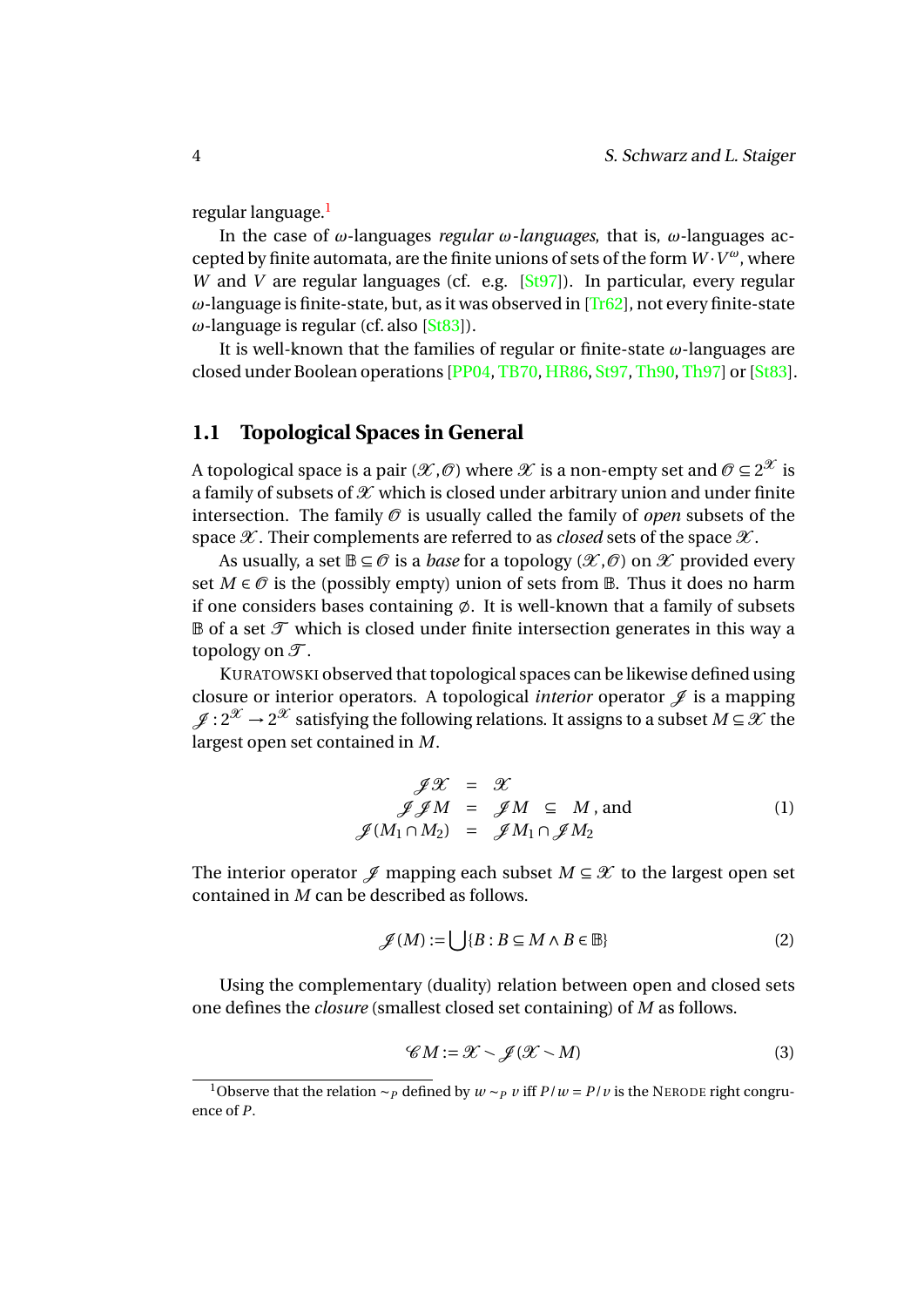regular language.<sup>[1](#page-4-1)</sup>

In the case of *ω*-languages *regular ω-languages*, that is, *ω*-languages accepted by finite automata, are the finite unions of sets of the form *W* ·*V <sup>ω</sup>*, where *W* and *V* are regular languages (cf. e.g. [\[St97\]](#page-18-2)). In particular, every regular *ω*-language is finite-state, but, as it was observed in [\[Tr62\]](#page-19-5), not every finite-state *ω*-language is regular (cf. also [\[St83\]](#page-18-9)).

It is well-known that the families of regular or finite-state *ω*-languages are closed under Boolean operations [\[PP04,](#page-18-0) [TB70,](#page-19-0) [HR86,](#page-18-1) [St97,](#page-18-2) [Th90,](#page-19-1) [Th97\]](#page-19-2) or [\[St83\]](#page-18-9).

### <span id="page-4-0"></span>**1.1 Topological Spaces in General**

A topological space is a pair  $(\mathscr{X},\mathscr{O})$  where  $\mathscr{X}$  is a non-empty set and  $\mathscr{O}\subseteq 2^{\mathscr{X}}$  is a family of subsets of  $\mathscr X$  which is closed under arbitrary union and under finite intersection. The family  $\mathcal O$  is usually called the family of *open* subsets of the space  $\mathscr X$ . Their complements are referred to as *closed* sets of the space  $\mathscr X$ .

As usually, a set  $\mathbb{B} \subseteq \mathcal{O}$  is a *base* for a topology  $(\mathcal{X}, \mathcal{O})$  on  $\mathcal{X}$  provided every set  $M \in \mathcal{O}$  is the (possibly empty) union of sets from  $\mathbb{B}$ . Thus it does no harm if one considers bases containing  $\varnothing$ . It is well-known that a family of subsets  $\mathbb B$  of a set  $\mathcal T$  which is closed under finite intersection generates in this way a topology on  $\mathcal{T}$ .

KURATOWSKI observed that topological spaces can be likewise defined using closure or interior operators. A topological *interior* operator  $\mathcal{J}$  is a mapping  $\mathscr{J}: 2^{\mathscr{X}} \to 2^{\mathscr{X}}$  satisfying the following relations. It assigns to a subset  $M \!\subseteq\! \mathscr{X}$  the largest open set contained in *M*.

$$
\mathscr{JX} = \mathscr{X} \n\mathscr{J}\mathscr{M} = \mathscr{J}M \subseteq M, \text{ and } \n\mathscr{J}(M_1 \cap M_2) = \mathscr{J}M_1 \cap \mathscr{J}M_2
$$
\n(1)

The interior operator  $\mathcal J$  mapping each subset  $M \subseteq \mathcal X$  to the largest open set contained in *M* can be described as follows.

$$
\mathcal{J}(M) := \bigcup \{ B : B \subseteq M \land B \in \mathbb{B} \} \tag{2}
$$

Using the complementary (duality) relation between open and closed sets one defines the *closure* (smallest closed set containing) of *M* as follows.

<span id="page-4-2"></span>
$$
\mathcal{C}M := \mathcal{X} \setminus \mathcal{J}(\mathcal{X} \setminus M) \tag{3}
$$

<span id="page-4-1"></span><sup>&</sup>lt;sup>1</sup>Observe that the relation ∼*P* defined by  $w \sim p v$  iff  $P/w = P/v$  is the NERODE right congruence of *P*.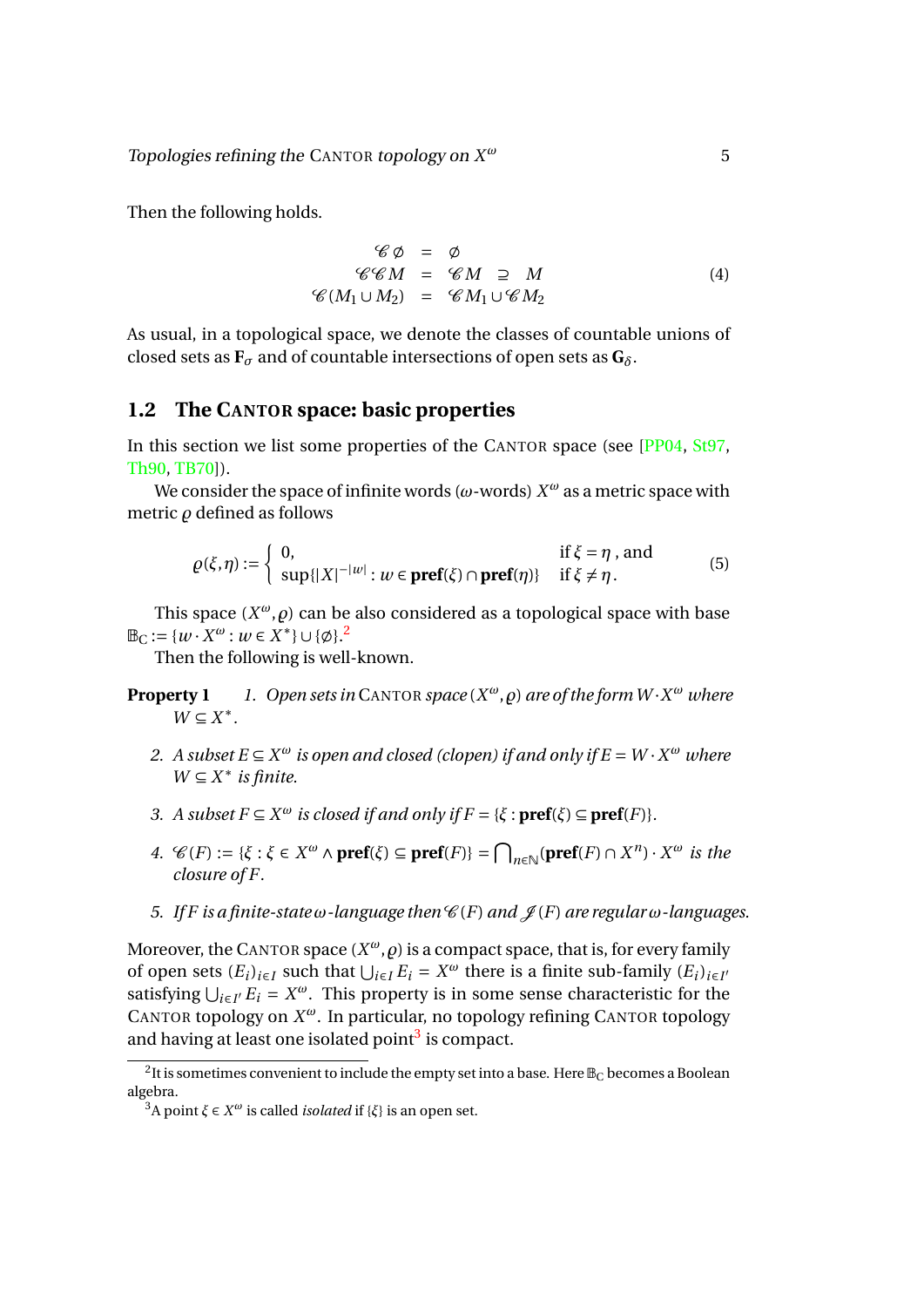Topologies refining the CANTOR topology on *X <sup>ω</sup>* 5

Then the following holds.

$$
\mathcal{C} \phi = \phi
$$
  
\n
$$
\mathcal{C} \mathcal{C} M = \mathcal{C} M \supseteq M
$$
  
\n
$$
\mathcal{C}(M_1 \cup M_2) = \mathcal{C} M_1 \cup \mathcal{C} M_2
$$
\n(4)

As usual, in a topological space, we denote the classes of countable unions of closed sets as  $\mathbf{F}_{\sigma}$  and of countable intersections of open sets as  $\mathbf{G}_{\delta}$ .

### <span id="page-5-0"></span>**1.2 The CANTOR space: basic properties**

In this section we list some properties of the CANTOR space (see [\[PP04,](#page-18-0) [St97,](#page-18-2) [Th90,](#page-19-1) [TB70\]](#page-19-0)).

We consider the space of infinite words (*ω*-words) *X <sup>ω</sup>* as a metric space with metric  $\rho$  defined as follows

<span id="page-5-7"></span><span id="page-5-4"></span>
$$
\varrho(\xi,\eta) := \begin{cases} 0, & \text{if } \xi = \eta \text{, and} \\ \sup\{|X|^{-|w|} : w \in \text{pref}(\xi) \cap \text{pref}(\eta)\} & \text{if } \xi \neq \eta. \end{cases}
$$
(5)

This space  $(X^\omega, \rho)$  can be also considered as a topological space with base  $\mathbb{B}_{C} := \{w \cdot X^{\omega} : w \in X^* \} \cup \{\emptyset\}.^2$  $\mathbb{B}_{C} := \{w \cdot X^{\omega} : w \in X^* \} \cup \{\emptyset\}.^2$ 

Then the following is well-known.

- **Property 1** *1. Open sets in* CANTOR *space*  $(X^{\omega}, \varrho)$  *are of the form W*  $\cdot X^{\omega}$  *where*  $W \subseteq X^*$ .
	- *2. A subset*  $E \subseteq X^{\omega}$  *is open and closed (clopen) if and only if*  $E = W \cdot X^{\omega}$  *where*  $W \subseteq X^*$  *is finite.*
	- *3. A subset*  $F \subseteq X^{\omega}$  *is closed if and only if*  $F = \{\xi : \textbf{pref}(\xi) \subseteq \textbf{pref}(F)\}.$
	- *4.*  $\mathcal{C}(F) := \{\xi : \xi \in X^{\omega} \land \textbf{pref}(\xi) \subseteq \textbf{pref}(F)\} = \bigcap_{n \in \mathbb{N}} (\textbf{pref}(F) \cap X^n) \cdot X^{\omega}$  *is the closure of F.*
	- *5. If F* is a finite-state  $\omega$ -language then  $\mathcal{C}(F)$  *and*  $\mathcal{J}(F)$  *are regular*  $\omega$ -languages.

<span id="page-5-6"></span><span id="page-5-5"></span>Moreover, the CANTOR space  $(X^\omega, \rho)$  is a compact space, that is, for every family of open sets  $(E_i)_{i \in I}$  such that  $\bigcup_{i \in I} E_i = X^\omega$  there is a finite sub-family  $(E_i)_{i \in I}$ satisfying  $\bigcup_{i \in I'} E_i = X^\omega$ . This property is in some sense characteristic for the CANTOR topology on *X <sup>ω</sup>*. In particular, no topology refining CANTOR topology and having at least one isolated point<sup>[3](#page-5-2)</sup> is compact.

<span id="page-5-1"></span> $^2$ It is sometimes convenient to include the empty set into a base. Here  $\mathbb{B}_{\mathbb{C}}$  becomes a Boolean algebra.

<span id="page-5-3"></span><span id="page-5-2"></span><sup>3</sup>A point *ξ* ∈ *X <sup>ω</sup>* is called *isolated* if {*ξ*} is an open set.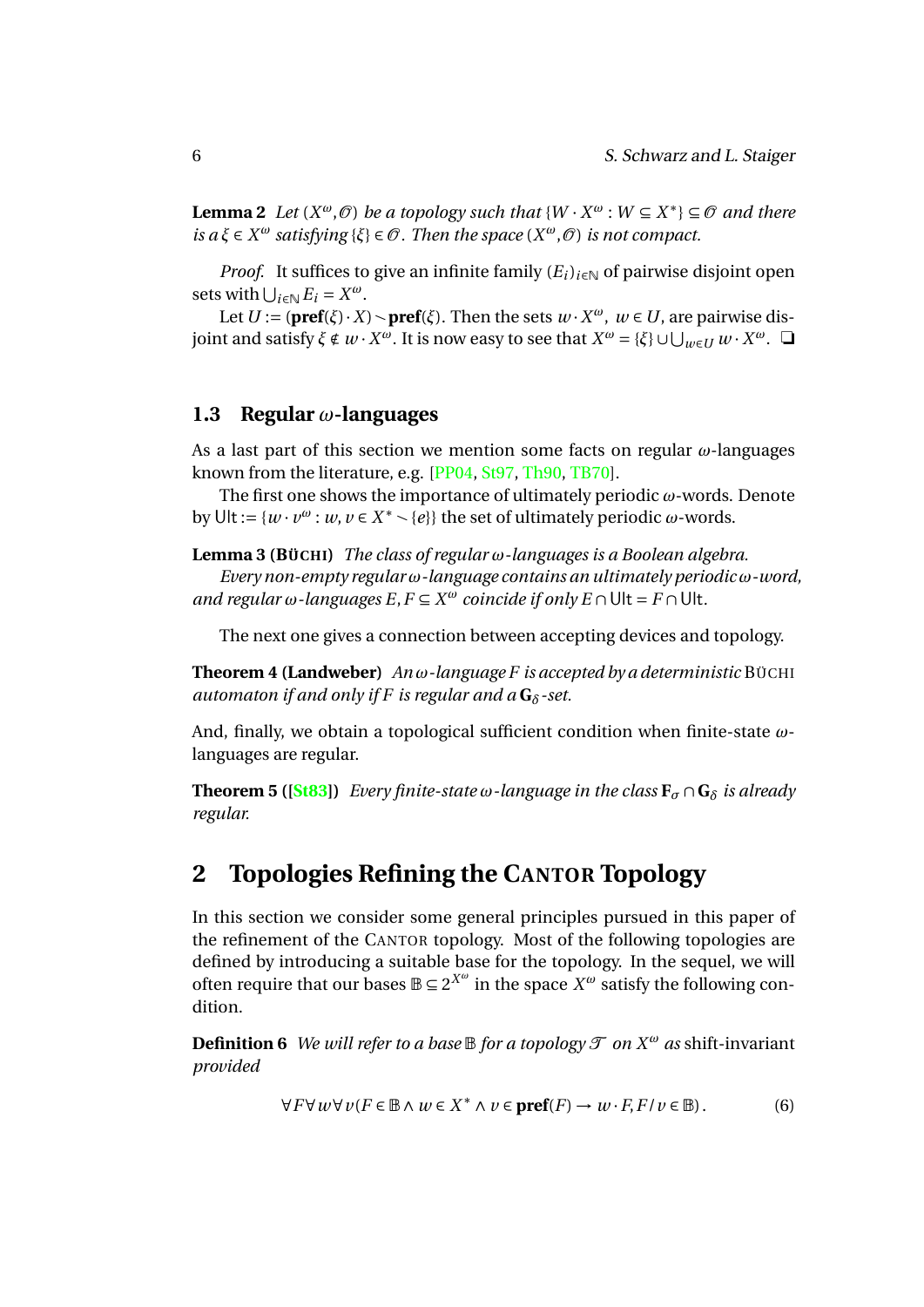**Lemma 2** *Let*  $(X^{\omega}, \mathcal{O})$  *be a topology such that*  $\{W \cdot X^{\omega} : W \subseteq X^*\} \subseteq \mathcal{O}$  *and there*  $iS$  *a*  $\xi \in X^{\omega}$  *satisfying* { $\xi$ }  $\in \mathcal{O}$ . Then the space ( $X^{\omega}, \mathcal{O}$ ) *is not compact.* 

*Proof.* It suffices to give an infinite family  $(E_i)_{i \in \mathbb{N}}$  of pairwise disjoint open sets with  $\bigcup_{i \in \mathbb{N}} E_i = X^\omega$ .

Let  $U := (\textbf{pref}(\xi) \cdot X) \setminus \textbf{pref}(\xi)$ . Then the sets  $w \cdot X^{\omega}$ ,  $w \in U$ , are pairwise dis*j* oint and satisfy *ξ* ∉ *w* · *X<sup>ω</sup>*. It is now easy to see that  $X^ω = \{\xi\} ∪ ∪_{w ∈ U} w ⋅ X^ω$ . </u>

#### <span id="page-6-0"></span>**1.3 Regular** *ω***-languages**

As a last part of this section we mention some facts on regular *ω*-languages known from the literature, e.g. [\[PP04,](#page-18-0) [St97,](#page-18-2) [Th90,](#page-19-1) [TB70\]](#page-19-0).

The first one shows the importance of ultimately periodic *ω*-words. Denote by Ult:=  $\{w \cdot v^{\omega} : w, v \in X^* \setminus \{e\}\}$  the set of ultimately periodic  $\omega$ -words.

**Lemma 3 (BÜCHI)** *The class of regular ω-languages is a Boolean algebra.*

*Every non-empty regular ω-language contains an ultimately periodic ω-word, and regular*  $\omega$ *-languages*  $E, F \subseteq X^{\omega}$  *coincide if only*  $E \cap \text{Ult} = F \cap \text{Ult}$ *.* 

<span id="page-6-4"></span>The next one gives a connection between accepting devices and topology.

**Theorem 4 (Landweber)** *An ω-language F is accepted by a deterministic* BÜCHI *automaton if and only if F is regular and a* **G***δ-set.*

And, finally, we obtain a topological sufficient condition when finite-state *ω*languages are regular.

**Theorem 5 ([\[St83\]](#page-18-9))** *Every finite-state*  $\omega$ *-language in the class*  $\mathbf{F}_{\sigma} \cap \mathbf{G}_{\delta}$  *is already regular.*

# <span id="page-6-1"></span>**2 Topologies Refining the CANTOR Topology**

In this section we consider some general principles pursued in this paper of the refinement of the CANTOR topology. Most of the following topologies are defined by introducing a suitable base for the topology. In the sequel, we will often require that our bases  $\mathbb{B} \subseteq 2^{X^{\omega}}$  in the space  $X^{\omega}$  satisfy the following condition.

<span id="page-6-2"></span>**Definition 6** *We will refer to a base*  $\mathbb B$  *for a topology*  $\mathcal T$  *on*  $X^\omega$  *as* shift-invariant *provided*

<span id="page-6-3"></span>
$$
\forall F \forall w \forall v (F \in \mathbb{B} \land w \in X^* \land v \in \mathbf{pref}(F) \to w \cdot F, F / v \in \mathbb{B}).\tag{6}
$$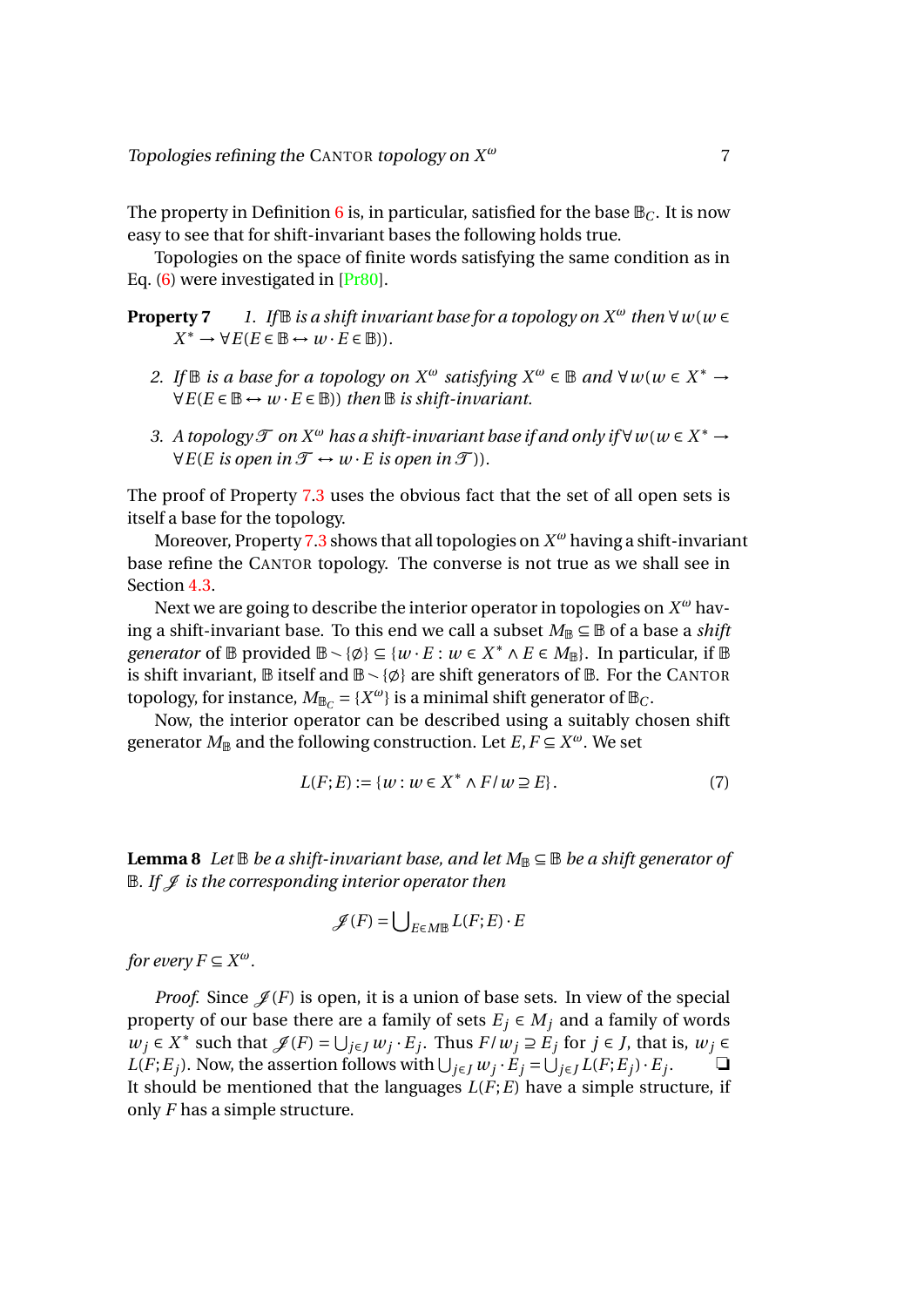The property in Definition [6](#page-6-2) is, in particular, satisfied for the base  $\mathbb{B}_C$ . It is now easy to see that for shift-invariant bases the following holds true.

Topologies on the space of finite words satisfying the same condition as in Eq. [\(6\)](#page-6-3) were investigated in [\[Pr80\]](#page-18-10).

**Property 7** *1. If*  $\mathbb B$  *is a shift invariant base for a topology on*  $X^\omega$  *then*  $\forall w(w \in Y)$  $X^* \to \forall E(E \in \mathbb{B} \leftrightarrow w \cdot E \in \mathbb{B})$ ).

- <span id="page-7-0"></span>*2. If*  $\mathbb B$  *is a base for a topology on*  $X^{\omega}$  *satisfying*  $X^{\omega} \in \mathbb B$  *and*  $\forall w(w \in X^* \rightarrow Y^* \cup Y^*$  $∀E(E ∈ ℝ ↔ w · E ∈ ℝ))$  *then* ℝ *is shift-invariant.*
- <span id="page-7-1"></span>3. *A topology*  $\mathcal{T}$  *on*  $X^{\omega}$  *has a shift-invariant base if and only if*  $\forall$  *w*( $w \in X^* \rightarrow$  $∀E(E is open in  $\mathcal{T} \leftrightarrow w \cdot E$  is open in  $\mathcal{T}$ )).$

The proof of Property [7.](#page-7-0)[3](#page-7-1) uses the obvious fact that the set of all open sets is itself a base for the topology.

Moreover, Property [7](#page-7-0)[.3](#page-7-1) shows that all topologies on *X <sup>ω</sup>* having a shift-invariant base refine the CANTOR topology. The converse is not true as we shall see in Section [4.3.](#page-17-0)

Next we are going to describe the interior operator in topologies on *X <sup>ω</sup>* having a shift-invariant base. To this end we call a subset  $M_\mathbb{B} \subseteq \mathbb{B}$  of a base a *shift generator* of  $\mathbb{B}$  provided  $\mathbb{B} \setminus \{\emptyset\} \subseteq \{w \cdot E : w \in X^* \land E \in M_{\mathbb{B}}\}$ . In particular, if  $\mathbb{B}$ is shift invariant,  $\mathbb B$  itself and  $\mathbb B \setminus \{\emptyset\}$  are shift generators of  $\mathbb B$ . For the CANTOR topology, for instance,  $M_{\mathbb{B}_C} = \{X^{\omega}\}\$ is a minimal shift generator of  $\mathbb{B}_C$ .

Now, the interior operator can be described using a suitably chosen shift generator  $M_{\mathbb{B}}$  and the following construction. Let  $E, F \subseteq X^{\omega}$ . We set

$$
L(F; E) := \{ w : w \in X^* \wedge F / w \supseteq E \}.
$$
 (7)

<span id="page-7-2"></span>**Lemma 8** *Let*  $\mathbb B$  *be a shift-invariant base, and let*  $M_{\mathbb B} \subseteq \mathbb B$  *be a shift generator of B. If*  $\mathcal{I}$  *is the corresponding interior operator then* 

<span id="page-7-3"></span>
$$
\mathscr{J}(F) = \bigcup_{E \in M \mathbb{B}} L(F; E) \cdot E
$$

*for every*  $F \subseteq X^{\omega}$ .

*Proof.* Since  $\mathcal{J}(F)$  is open, it is a union of base sets. In view of the special property of our base there are a family of sets  $E_i \in M_i$  and a family of words  $w_j$  ∈  $X^*$  such that  $\mathscr{J}(F) = \bigcup_{j \in J} w_j \cdot E_j$ . Thus  $F/w_j \supseteq E_j$  for  $j \in J$ , that is,  $w_j \in$  $L(F; E_j)$ . Now, the assertion follows with  $\bigcup_{j \in J} w_j \cdot E_j = \bigcup_{j \in J} L(F; E_j) \cdot E_j$ . ❏ It should be mentioned that the languages *L*(*F*;*E*) have a simple structure, if only *F* has a simple structure.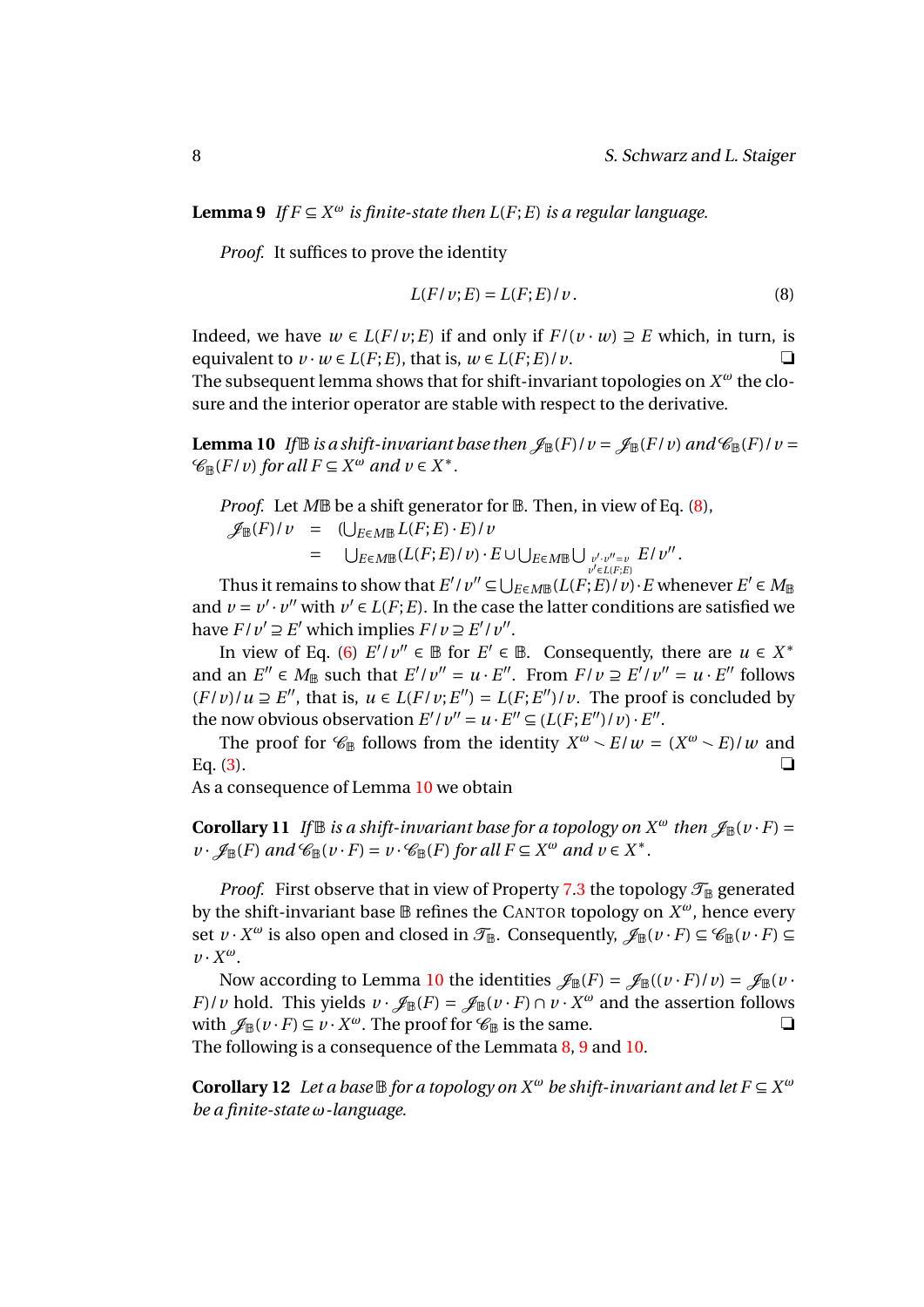**Lemma 9** *If*  $F \subseteq X^{\omega}$  *is finite-state then L(F; E) is a regular language.* 

*Proof.* It suffices to prove the identity

<span id="page-8-1"></span><span id="page-8-0"></span>
$$
L(F/v;E) = L(F;E)/v.
$$
\n(8)

Indeed, we have  $w \in L(F/v; E)$  if and only if  $F/(v \cdot w) \supseteq E$  which, in turn, is equivalent to  $v \cdot w \in L(F;E)$ , that is,  $w \in L(F;E)/v$ .

The subsequent lemma shows that for shift-invariant topologies on *X <sup>ω</sup>* the closure and the interior operator are stable with respect to the derivative.

**Lemma 10** *If*  $\mathbb{B}$  *is a shift-invariant base then*  $\mathscr{J}_{\mathbb{B}}(F)/v = \mathscr{J}_{\mathbb{B}}(F/v)$  and  $\mathscr{C}_{\mathbb{B}}(F)/v =$  $\mathscr{C}_{\mathbb{B}}(F/v)$  *for all*  $F \subseteq X^{\omega}$  *and*  $v \in X^*$ *.* 

*Proof.* Let *M*<sup>B</sup> be a shift generator for **B**. Then, in view of Eq. [\(8\)](#page-8-0),

 $\mathscr{J}_{\mathbb{B}}(F)/v = (\bigcup_{E \in M \mathbb{B}} L(F;E) \cdot E)/v$  $= \bigcup_{E \in M \mathbb{B}} (L(F;E)/v) \cdot E \cup \bigcup_{E \in M \mathbb{B}} \bigcup_{v',v''=v \atop v' \in L(F;E)} E/v''$ .

Thus it remains to show that  $E'/v'' \subseteq \bigcup_{E \in M \mathbb{B}} (L(F;E)/v) \cdot E$  whenever  $E' \in M_{\mathbb{B}}$ and  $v = v' \cdot v''$  with  $v' \in L(F; E)$ . In the case the latter conditions are satisfied we have  $F/v' \supseteq E'$  which implies  $F/v \supseteq E'/v''$ .

In view of Eq. [\(6\)](#page-6-3)  $E'/v'' \in \mathbb{B}$  for  $E' \in \mathbb{B}$ . Consequently, there are  $u \in X^*$ and an  $E'' \in M_{\mathbb{B}}$  such that  $E'/v'' = u \cdot E''$ . From  $F/v \supseteq E'/v'' = u \cdot E''$  follows  $(F/v)/u \supseteq E''$ , that is,  $u \in L(F/v; E'') = L(F; E'')/v$ . The proof is concluded by the now obvious observation  $E'/v'' = u \cdot E'' \subseteq (L(F; E'')/v) \cdot E''$ .

The proof for  $\mathcal{C}_{\mathbb{B}}$  follows from the identity  $X^{\omega} \setminus E/w = (X^{\omega} \setminus E/w)$  and Eq. [\(3\)](#page-4-2).  $\Box$ 

<span id="page-8-3"></span>As a consequence of Lemma [10](#page-8-1) we obtain

**Corollary 11** *If*  $\mathbb{B}$  *is a shift-invariant base for a topology on*  $X^{\omega}$  *then*  $\mathscr{J}_{\mathbb{B}}(v \cdot F) =$  $\nu \cdot \mathscr{J}_{\mathbb{B}}(F)$  *and*  $\mathscr{C}_{\mathbb{B}}(\nu \cdot F) = \nu \cdot \mathscr{C}_{\mathbb{B}}(F)$  *for all*  $F \subseteq X^\omega$  *and*  $\nu \in X^*$ .

*Proof.* First observe that in view of Property [7.](#page-7-0)[3](#page-7-1) the topology  $\mathcal{T}_{\mathbb{B}}$  generated by the shift-invariant base B refines the CANTOR topology on *X <sup>ω</sup>*, hence every set  $v \cdot X^{\omega}$  is also open and closed in  $\mathcal{T}_{\mathbb{B}}$ . Consequently,  $\mathcal{J}_{\mathbb{B}}(v \cdot F) \subseteq \mathcal{C}_{\mathbb{B}}(v \cdot F) \subseteq$ *v* · *X ω*.

Now according to Lemma [10](#page-8-1) the identities  $\mathcal{J}_{\mathbb{B}}(F) = \mathcal{J}_{\mathbb{B}}((v \cdot F)/v) = \mathcal{J}_{\mathbb{B}}(v \cdot F)/v$ *F*)/*v* hold. This yields  $v \cdot \mathcal{J}_{\mathbb{B}}(F) = \mathcal{J}_{\mathbb{B}}(v \cdot F) \cap v \cdot X^{\omega}$  and the assertion follows with  $\mathcal{J}_{\mathbb{B}}(\nu \cdot F) \subseteq \nu \cdot X^{\omega}$ . The proof for  $\mathcal{C}_{\mathbb{B}}$  is the same. The following is a consequence of the Lemmata [8,](#page-7-2) [9](#page-7-3) and [10.](#page-8-1)

<span id="page-8-2"></span>**Corollary 12** *Let a base*  $\mathbb B$  *for a topology on*  $X^\omega$  *be shift-invariant and let*  $F \subseteq X^\omega$ *be a finite-state ω-language.*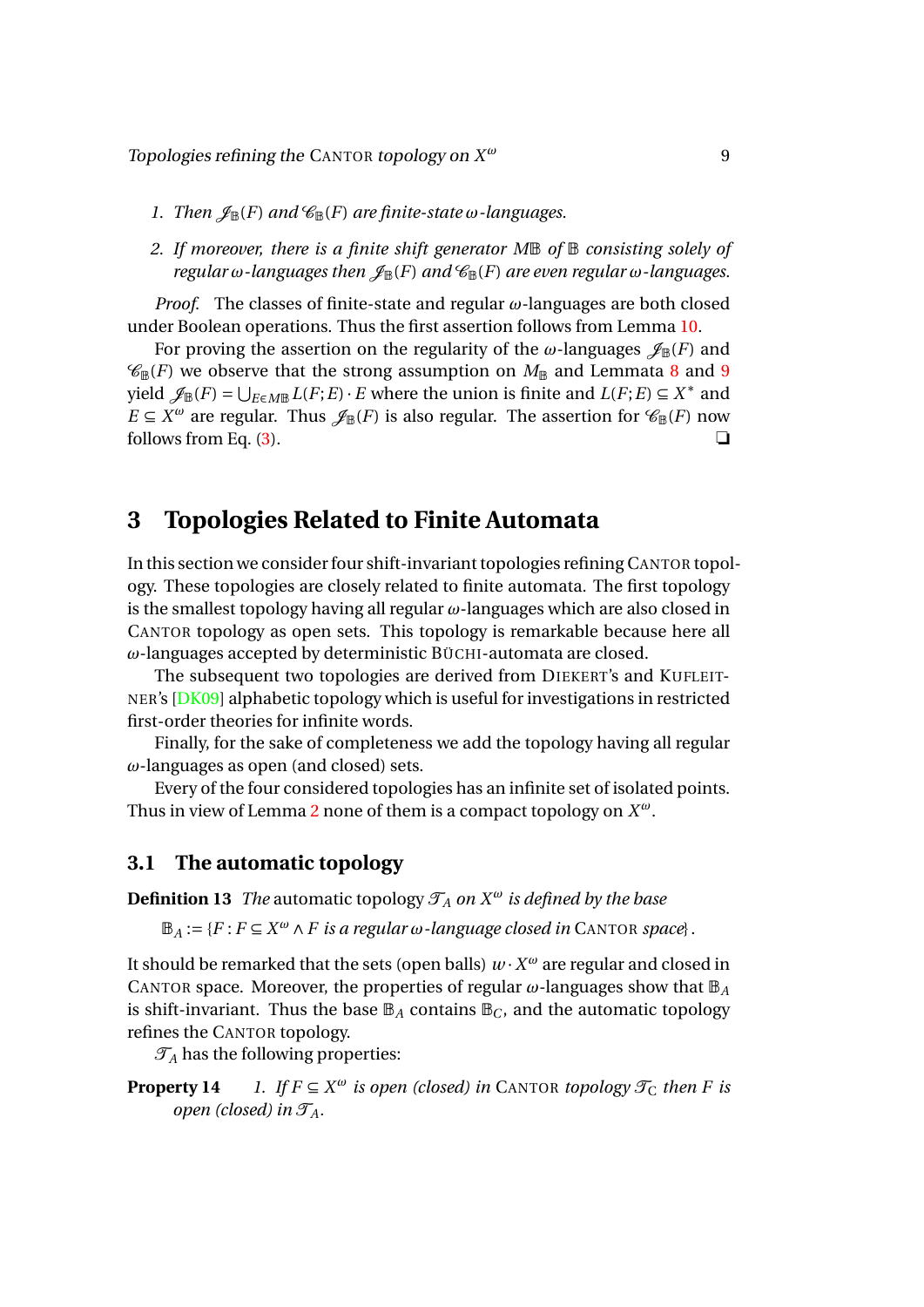- *1. Then*  $\mathscr{J}_{\mathbb{B}}(F)$  *and*  $\mathscr{C}_{\mathbb{B}}(F)$  *are finite-state*  $\omega$ *-languages.*
- <span id="page-9-2"></span>*2. If moreover, there is a finite shift generator M*B *of* B *consisting solely of regular*  $\omega$ *-languages then*  $\mathscr{J}_{\mathbb{B}}(F)$  *and*  $\mathscr{C}_{\mathbb{B}}(F)$  *are even regular*  $\omega$ *-languages.*

*Proof.* The classes of finite-state and regular *ω*-languages are both closed under Boolean operations. Thus the first assertion follows from Lemma [10.](#page-8-1)

For proving the assertion on the regularity of the  $\omega$ -languages  $\mathscr{J}_{\mathbb{B}}(F)$  and  $\mathcal{C}_{\mathbb{B}}(F)$  we observe that the strong assumption on  $M_{\mathbb{B}}$  and Lemmata [8](#page-7-2) and [9](#page-7-3) yield  $\mathscr{J}_{\mathbb{B}}(F) = \bigcup_{E \in M\mathbb{B}} L(F;E) \cdot E$  where the union is finite and  $L(F;E) \subseteq X^*$  and *E*  $\subseteq$  *X<sup>ω</sup>* are regular. Thus  $\mathscr{J}_{\mathbb{B}}(F)$  is also regular. The assertion for  $\mathscr{C}_{\mathbb{B}}(F)$  now follows from Eq. [\(3\)](#page-4-2).  $\Box$ 

# <span id="page-9-0"></span>**3 Topologies Related to Finite Automata**

In this section we consider four shift-invariant topologies refining CANTOR topology. These topologies are closely related to finite automata. The first topology is the smallest topology having all regular *ω*-languages which are also closed in CANTOR topology as open sets. This topology is remarkable because here all *ω*-languages accepted by deterministic BÜCHI-automata are closed.

The subsequent two topologies are derived from DIEKERT's and KUFLEIT-NER's [\[DK09\]](#page-18-6) alphabetic topology which is useful for investigations in restricted first-order theories for infinite words.

Finally, for the sake of completeness we add the topology having all regular *ω*-languages as open (and closed) sets.

Every of the four considered topologies has an infinite set of isolated points. Thus in view of Lemma [2](#page-5-3) none of them is a compact topology on *X ω*.

### <span id="page-9-1"></span>**3.1 The automatic topology**

**Definition 13** *The* automatic topology  $\mathcal{T}_A$  *on*  $X^\omega$  *is defined by the base* 

 $\mathbb{B}_A := \{F : F \subseteq X^\omega \land F \text{ is a regular } \omega \text{-language closed in } \mathbb{C} \land \text{ANDR space}\}.$ 

It should be remarked that the sets (open balls)  $w \cdot X^\omega$  are regular and closed in CANTOR space. Moreover, the properties of regular  $\omega$ -languages show that  $\mathbb{B}_A$ is shift-invariant. Thus the base  $\mathbb{B}_A$  contains  $\mathbb{B}_C$ , and the automatic topology refines the CANTOR topology.

 $\mathcal{T}_A$  has the following properties:

**Property 14** *1. If*  $F \subseteq X^{\omega}$  *is open (closed) in* CANTOR *topology*  $\mathcal{T}_C$  *then F is open (closed) in*  $\mathcal{T}_A$ *.*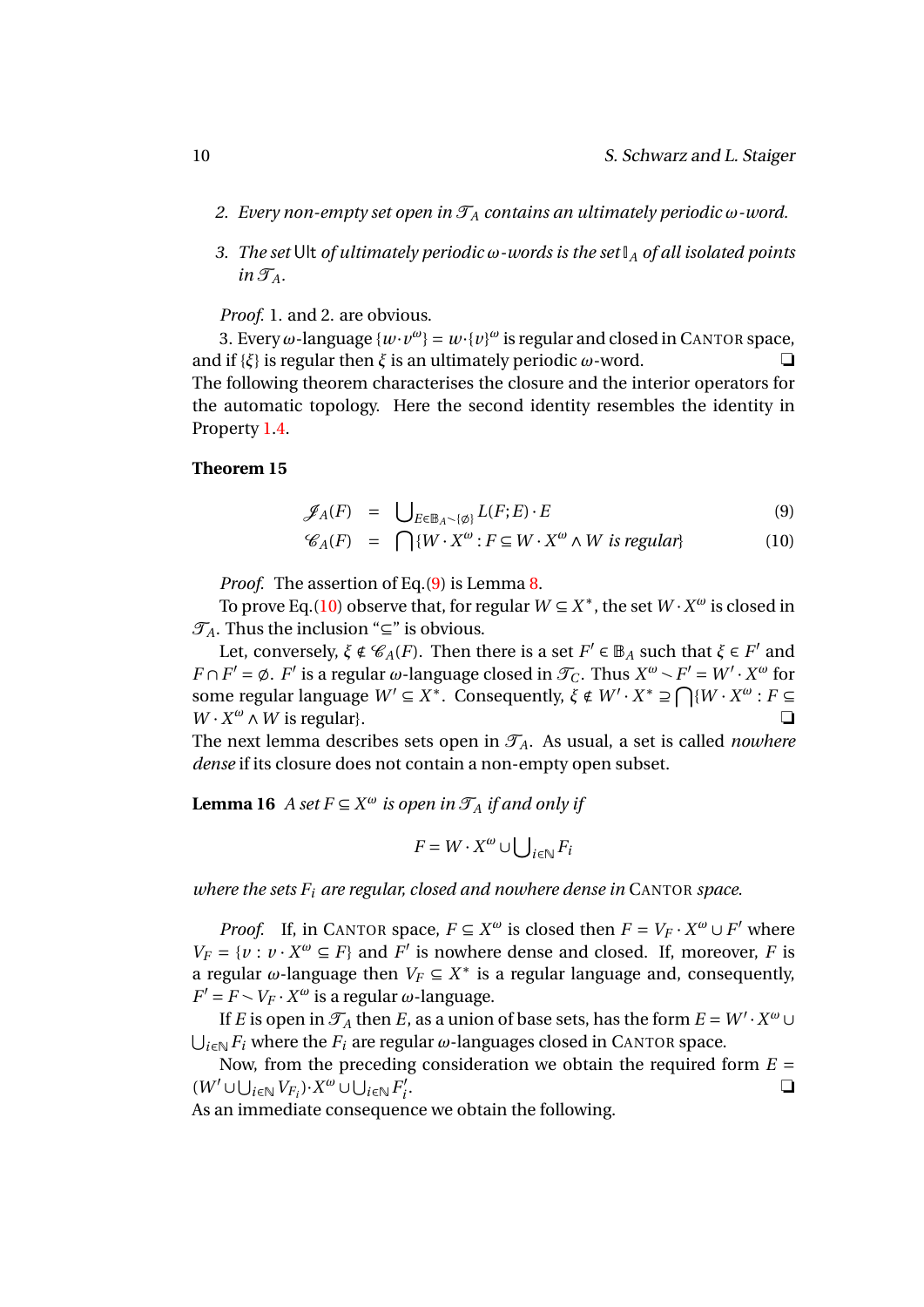- *2. Every non-empty set open in*  $\mathcal{T}_A$  *contains an ultimately periodic*  $\omega$ *-word.*
- *3. The set* Ult *of ultimately periodic ω-words is the set* I*<sup>A</sup> of all isolated points*  $in \mathcal{T}_A$ *.*

*Proof.* 1. and 2. are obvious.

3. Every  $\omega$ -language  $\{w \cdot v^{\omega}\} = w \cdot \{v\}^{\omega}$  is regular and closed in CANTOR space, and if  $\{\xi\}$  is regular then  $\xi$  is an ultimately periodic  $\omega$ -word.  $\Box$ The following theorem characterises the closure and the interior operators for the automatic topology. Here the second identity resembles the identity in Property [1](#page-5-4)[.4.](#page-5-5)

#### **Theorem 15**

$$
\mathscr{J}_A(F) = \bigcup_{E \in \mathbb{B}_A \setminus \{\emptyset\}} L(F;E) \cdot E \tag{9}
$$

<span id="page-10-0"></span>
$$
\mathcal{C}_A(F) = \bigcap \{ W \cdot X^{\omega} : F \subseteq W \cdot X^{\omega} \wedge W \text{ is regular} \} \tag{10}
$$

*Proof.* The assertion of Eq.[\(9\)](#page-10-0) is Lemma [8.](#page-7-2)

To prove Eq.[\(10\)](#page-10-0) observe that, for regular  $W \subseteq X^*$ , the set  $W \cdot X^{\omega}$  is closed in  $\mathcal{T}_A$ . Thus the inclusion "⊆" is obvious.

Let, conversely,  $\xi \notin \mathcal{C}_A(F)$ . Then there is a set  $F' \in \mathbb{B}_A$  such that  $\xi \in F'$  and *F* ∩ *F*' =  $\emptyset$ . *F*' is a regular  $\omega$ -language closed in  $\mathcal{T}_C$ . Thus  $X^{\omega} \setminus F' = W' \cdot X^{\omega}$  for some regular language  $W' \subseteq X^*$ . Consequently,  $\xi \notin W' \cdot X^* \supseteq \bigcap \{W \cdot X^\omega : F \subseteq W\}$  $W \cdot X^{\omega} \wedge W$  is regular}.

The next lemma describes sets open in  $\mathcal{T}_A$ . As usual, a set is called *nowhere dense* if its closure does not contain a non-empty open subset.

**Lemma 16** *A set*  $F \subseteq X^{\omega}$  *is open in*  $\mathcal{T}_A$  *if and only if* 

<span id="page-10-1"></span>
$$
F = W \cdot X^{\omega} \cup \bigcup_{i \in \mathbb{N}} F_i
$$

*where the sets F<sup>i</sup> are regular, closed and nowhere dense in* CANTOR *space.*

*Proof.* If, in CANTOR space,  $F \subseteq X^{\omega}$  is closed then  $F = V_F \cdot X^{\omega} \cup F'$  where  $V_F = \{v : v \cdot X^\omega \subseteq F\}$  and  $\overline{F}'$  is nowhere dense and closed. If, moreover, *F* is a regular  $\omega$ -language then  $V_F \subseteq X^*$  is a regular language and, consequently,  $F' = F \setminus V_F \cdot X^\omega$  is a regular  $\omega$ -language.

If *E* is open in  $\mathcal{T}_A$  then *E*, as a union of base sets, has the form  $E = W' \cdot X^\omega \cup$ S *<sup>i</sup>*∈<sup>N</sup> *F<sup>i</sup>* where the *F<sup>i</sup>* are regular *ω*-languages closed in CANTOR space.

Now, from the preceding consideration we obtain the required form  $E =$  $(W' \cup \bigcup_{i \in \mathbb{N}} V_{F_i}) \cdot X^{\omega} \cup \bigcup_{i \in \mathbb{N}} F'_i$ *i* . ❏

As an immediate consequence we obtain the following.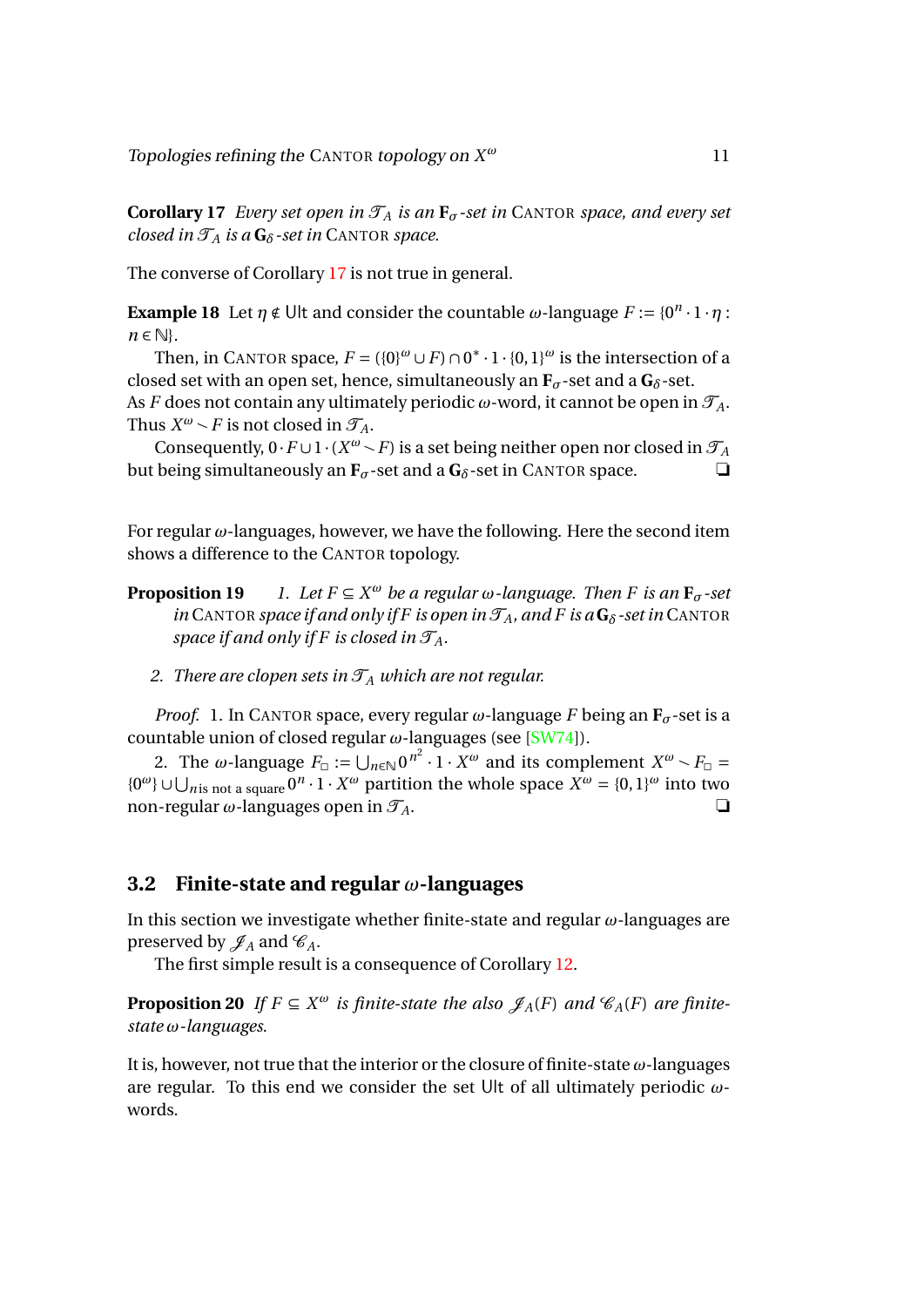**Corollary 17** *Every set open in*  $\mathcal{T}_A$  *is an*  $\mathbf{F}_{\sigma}$ -set *in* CANTOR *space, and every set closed in*  $\mathcal{T}_A$  *is a*  $\mathbf{G}_\delta$ -set *in* CANTOR *space.* 

The converse of Corollary [17](#page-10-1) is not true in general.

**Example 18** Let  $\eta \notin \text{Ult}$  and consider the countable  $\omega$ -language  $F := \{0^n \cdot 1 \cdot \eta :$ *n* ∈ N}.

Then, in CANTOR space,  $F = (\{0\}^{\omega} \cup F) \cap 0^* \cdot 1 \cdot \{0,1\}^{\omega}$  is the intersection of a closed set with an open set, hence, simultaneously an  $\mathbf{F}_{\sigma}$ -set and a  $\mathbf{G}_{\delta}$ -set. As *F* does not contain any ultimately periodic  $\omega$ -word, it cannot be open in  $\mathcal{T}_A$ . Thus  $X^{\omega} \sim F$  is not closed in  $\mathcal{T}_A$ .

Consequently,  $0 \cdot F \cup 1 \cdot (X^{\omega} \setminus F)$  is a set being neither open nor closed in  $\mathcal{T}_A$ but being simultaneously an **-set and a**  $**G**<sub>δ</sub>$ **-set in CANTOR space.** 

<span id="page-11-2"></span>For regular *ω*-languages, however, we have the following. Here the second item shows a difference to the CANTOR topology.

- **Proposition 19** *l*. Let  $F \subseteq X^{\omega}$  be a regular  $\omega$ -language. Then F is an  $\mathbf{F}_{\sigma}$ -set *in* CANTOR *space if and only if F is open in*  $\mathcal{T}_A$ *, and F is a*  $\mathbf{G}_\delta$ -set *in* CANTOR *space if and only if F is closed in*  $\mathcal{T}_A$ *.* 
	- *2. There are clopen sets in*  $\mathcal{T}_A$  *which are not regular.*

*Proof.* 1. In CANTOR space, every regular  $\omega$ -language *F* being an  $\mathbf{F}_{\sigma}$ -set is a countable union of closed regular *ω*-languages (see [\[SW74\]](#page-19-6)).

2. The *ω*-language  $F_{\Box} := \bigcup_{n \in \mathbb{N}} 0^{n^2} \cdot 1 \cdot X^{\omega}$  and its complement  $X^{\omega} \setminus F_{\Box} =$ { $0^{\omega}$ } ∪ ∪<sub>n</sub> is not a square  $0^{n} \cdot 1 \cdot X^{\omega}$  partition the whole space  $X^{\omega} = \{0, 1\}^{\omega}$  into two non-regular  $\omega$ -languages open in  $\mathcal{T}_A$ .

#### <span id="page-11-0"></span>**3.2 Finite-state and regular** *ω***-languages**

In this section we investigate whether finite-state and regular *ω*-languages are preserved by  $\mathscr{J}_A$  and  $\mathscr{C}_A$ .

The first simple result is a consequence of Corollary [12.](#page-8-2)

**Proposition 20** *If*  $F \subseteq X^{\omega}$  *is finite-state the also*  $\mathscr{J}_A(F)$  *and*  $\mathscr{C}_A(F)$  *are finitestate ω-languages.*

<span id="page-11-1"></span>It is, however, not true that the interior or the closure of finite-state *ω*-languages are regular. To this end we consider the set Ult of all ultimately periodic *ω*words.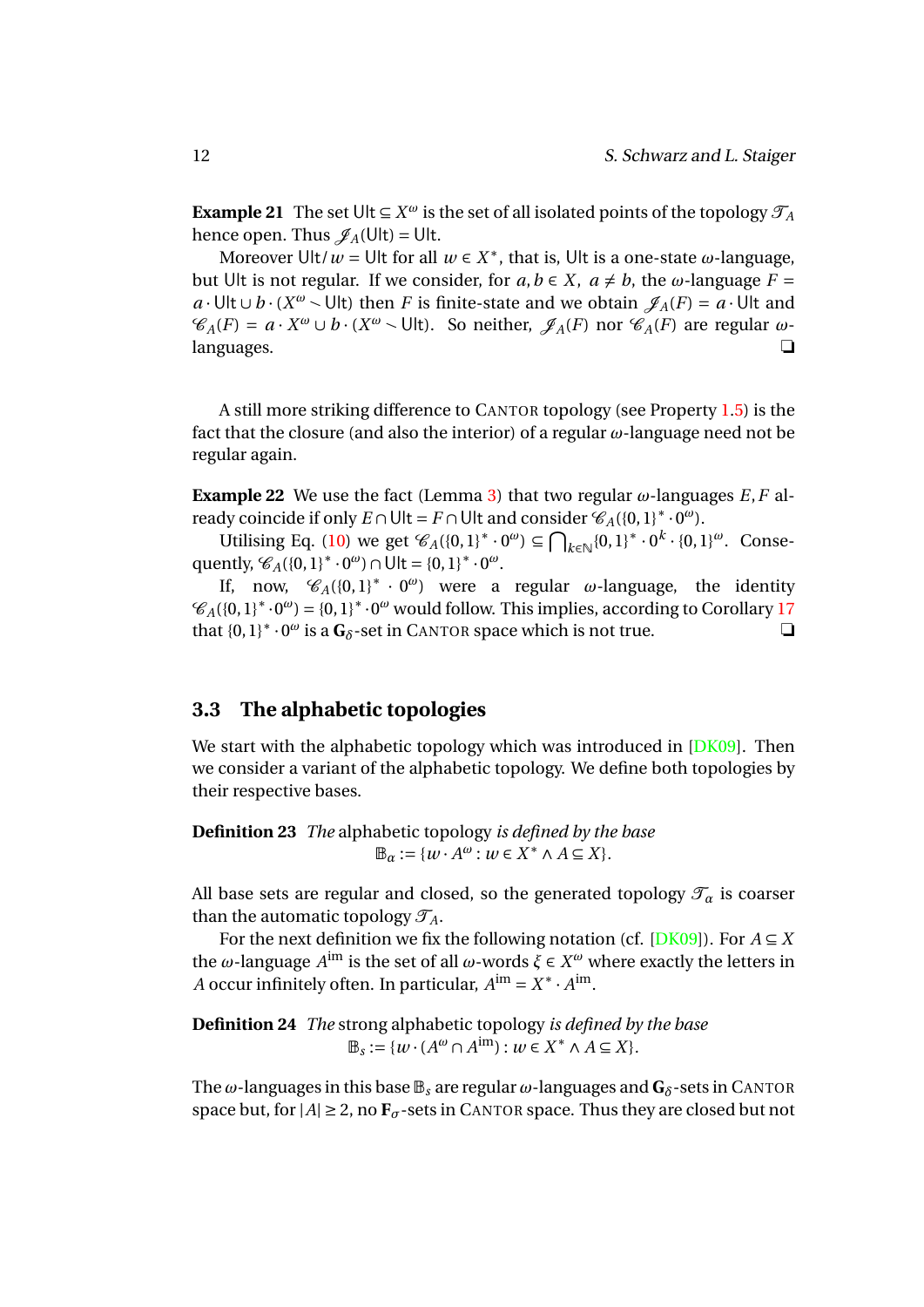**Example 21** The set Ult  $\subseteq X^\omega$  is the set of all isolated points of the topology  $\mathcal{T}_A$ hence open. Thus  $\mathscr{J}_A(U|t) = U|t$ .

Moreover Ult/ $\omega$  = Ult for all  $w \in X^*$ , that is, Ult is a one-state  $\omega$ -language, but Ult is not regular. If we consider, for  $a, b \in X$ ,  $a \neq b$ , the *ω*-language  $F =$ *a* · Ult ∪ *b* · (*X<sup>ω</sup>*  $\sim$  Ult) then *F* is finite-state and we obtain  $\mathscr{J}_A(F) = a \cdot$  Ult and  $\mathscr{C}_A(F) = a \cdot X^\omega \cup b \cdot (X^\omega \setminus \text{Ult})$ . So neither,  $\mathscr{J}_A(F)$  nor  $\mathscr{C}_A(F)$  are regular  $\omega$ languages. ❏

<span id="page-12-1"></span>A still more striking difference to CANTOR topology (see Property [1](#page-5-4)[.5\)](#page-5-6) is the fact that the closure (and also the interior) of a regular *ω*-language need not be regular again.

**Example 22** We use the fact (Lemma [3\)](#page-6-4) that two regular  $\omega$ -languages *E*, *F* already coincide if only  $E \cap \text{Ult} = F \cap \text{Ult}$  and consider  $\mathscr{C}_{A}(\{0,1\}^* \cdot 0^{\omega})$ .

Utilising Eq. [\(10\)](#page-10-0) we get  $\mathcal{C}_A({0, 1}^* \cdot 0^{\omega}) \subseteq \bigcap_{k \in \mathbb{N}} {0, 1}^* \cdot 0^k \cdot {0, 1}^{\omega}$ . Consequently,  $\mathcal{C}_A({0,1}^* \cdot 0^\omega) \cap \overline{U}$  = {0, 1}<sup>\*</sup> ·  $0^\omega$ .

If, now,  $\mathcal{C}_A({0,1}^* \cdot 0^{\omega})$  were a regular *ω*-language, the identity  $\mathscr{C}_A({0,1}^*\cdot0^\omega)={0,1}^*\cdot0^\omega$  would follow. This implies, according to Corollary [17](#page-10-1) that  ${0, 1}^* \cdot 0^\omega$  is a  $\mathbf{G}_\delta$ -set in CANTOR space which is not true.  $\Box$ 

## <span id="page-12-0"></span>**3.3 The alphabetic topologies**

We start with the alphabetic topology which was introduced in [\[DK09\]](#page-18-6). Then we consider a variant of the alphabetic topology. We define both topologies by their respective bases.

**Definition 23** *The* alphabetic topology *is defined by the base*  $\mathbb{B}_{\alpha} := \{w \cdot A^{\omega} : w \in X^* \wedge A \subseteq X\}.$ 

All base sets are regular and closed, so the generated topology  $\mathcal{T}_{\alpha}$  is coarser than the automatic topology  $\mathcal{T}_A$ .

For the next definition we fix the following notation (cf.  $[DK09]$ ). For  $A \subseteq X$ the *ω*-language *A*<sup>im</sup> is the set of all *ω*-words *ξ* ∈ *X<sup>ω</sup>* where exactly the letters in *A* occur infinitely often. In particular,  $A^{im} = X^* \cdot A^{im}$ .

**Definition 24** *The* strong alphabetic topology *is defined by the base*  $\mathbb{B}_s := \{w \cdot (A^{\omega} \cap A^{\text{im}}) : w \in X^* \wedge A \subseteq X\}.$ 

The  $\omega$ -languages in this base  $\mathbb{B}_s$  are regular  $\omega$ -languages and  $\mathbf{G}_\delta$ -sets in CANTOR space but, for  $|A| \geq 2$ , no  $\mathbf{F}_{\sigma}$ -sets in CANTOR space. Thus they are closed but not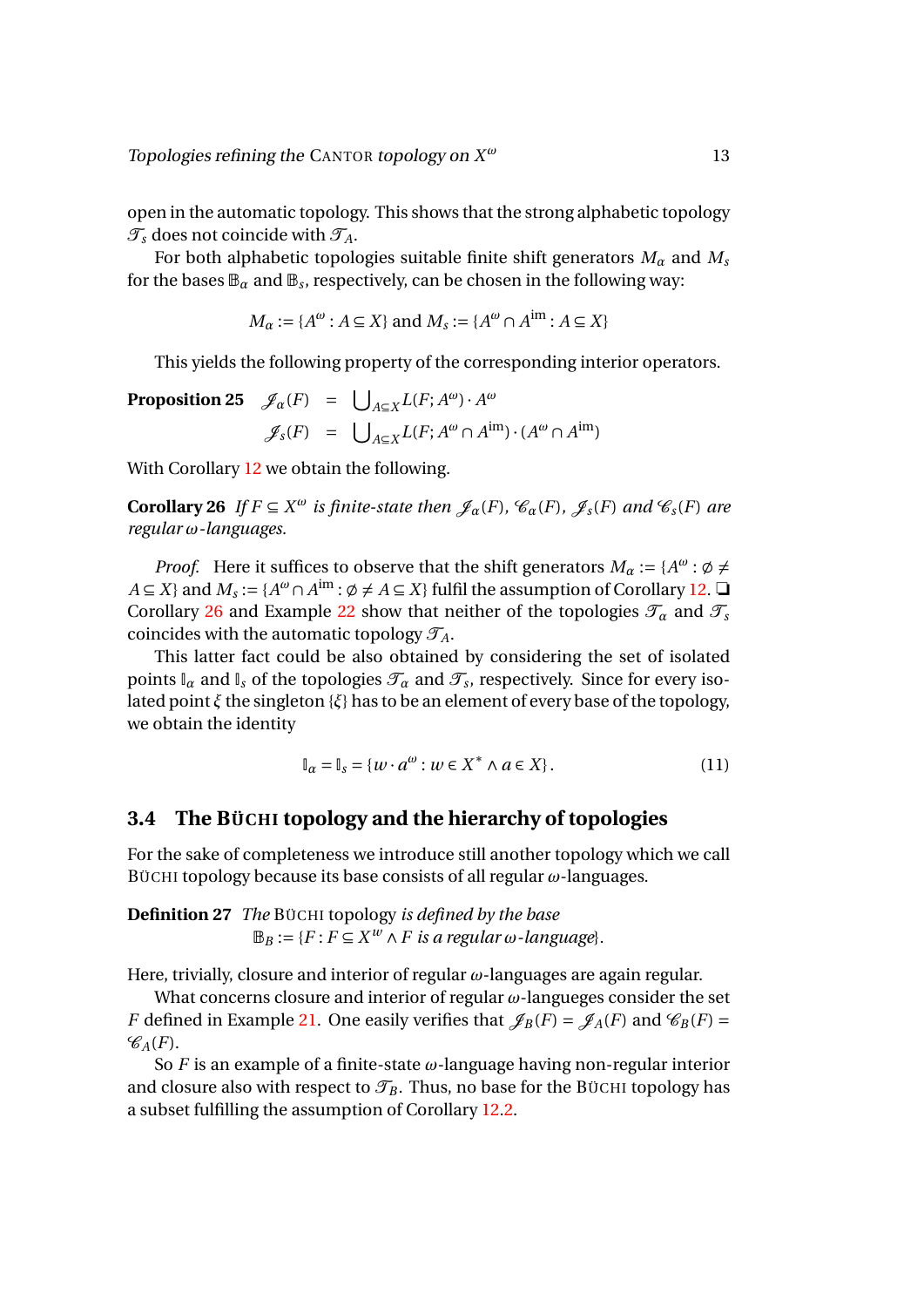open in the automatic topology. This shows that the strong alphabetic topology  $\mathcal{T}_s$  does not coincide with  $\mathcal{T}_A$ .

For both alphabetic topologies suitable finite shift generators  $M_\alpha$  and  $M_s$ for the bases  $\mathbb{B}_\alpha$  and  $\mathbb{B}_s$ , respectively, can be chosen in the following way:

<span id="page-13-1"></span>
$$
M_{\alpha} := \{ A^{\omega} : A \subseteq X \} \text{ and } M_{s} := \{ A^{\omega} \cap A^{\text{im}} : A \subseteq X \}
$$

This yields the following property of the corresponding interior operators.

**Proposition 25**  $\mathscr{J}_{\alpha}(F) = \bigcup_{A \subseteq X} L(F; A^{\omega}) \cdot A^{\omega}$  $\mathscr{J}_s(F) = \bigcup_{A \subseteq X} L(F; A^\omega \cap A^{\text{im}}) \cdot (A^\omega \cap A^{\text{im}})$ 

With Corollary [12](#page-8-2) we obtain the following.

**Corollary 26** *If*  $F \subseteq X^{\omega}$  *is finite-state then*  $\mathscr{J}_{\alpha}(F)$ *,*  $\mathscr{C}_{\alpha}(F)$ *,*  $\mathscr{J}_{s}(F)$  *and*  $\mathscr{C}_{s}(F)$  *are regular ω-languages.*

*Proof.* Here it suffices to observe that the shift generators  $M_{\alpha} := \{A^{\omega} : \emptyset \neq \emptyset\}$ *A* ⊆ *X*} and *M<sub>s</sub>* := {*A<sup>ω</sup>* ∩ *A*<sup>im</sup> :  $\emptyset \neq A \subseteq X$ } fulfil the assumption of Corollary [12.](#page-8-2) □ Corollary [26](#page-13-1) and Example [22](#page-12-1) show that neither of the topologies  $\mathcal{T}_\alpha$  and  $\mathcal{T}_s$ coincides with the automatic topology  $\mathcal{T}_A$ .

This latter fact could be also obtained by considering the set of isolated points  $\mathbb{I}_\alpha$  and  $\mathbb{I}_s$  of the topologies  $\mathcal{T}_\alpha$  and  $\mathcal{T}_s$ , respectively. Since for every isolated point *ξ* the singleton {*ξ*} has to be an element of every base of the topology, we obtain the identity

$$
\mathbb{I}_{\alpha} = \mathbb{I}_{s} = \{w \cdot a^{\omega} : w \in X^* \land a \in X\}.
$$
\n
$$
(11)
$$

### <span id="page-13-0"></span>**3.4 The BÜCHI topology and the hierarchy of topologies**

For the sake of completeness we introduce still another topology which we call BÜCHI topology because its base consists of all regular *ω*-languages.

**Definition 27** *The* BÜCHI topology *is defined by the base*  $\mathbb{B}_B := \{F : F \subseteq X^w \land F \text{ is a regular } \omega \text{-language}\}.$ 

Here, trivially, closure and interior of regular *ω*-languages are again regular.

What concerns closure and interior of regular *ω*-langueges consider the set *F* defined in Example [21.](#page-11-1) One easily verifies that  $\mathscr{J}_B(F) = \mathscr{J}_A(F)$  and  $\mathscr{C}_B(F) =$  $\mathscr{C}_{A}(F)$ .

So *F* is an example of a finite-state *ω*-language having non-regular interior and closure also with respect to  $\mathcal{T}_B$ . Thus, no base for the BÜCHI topology has a subset fulfilling the assumption of Corollary [12.](#page-8-2)[2.](#page-9-2)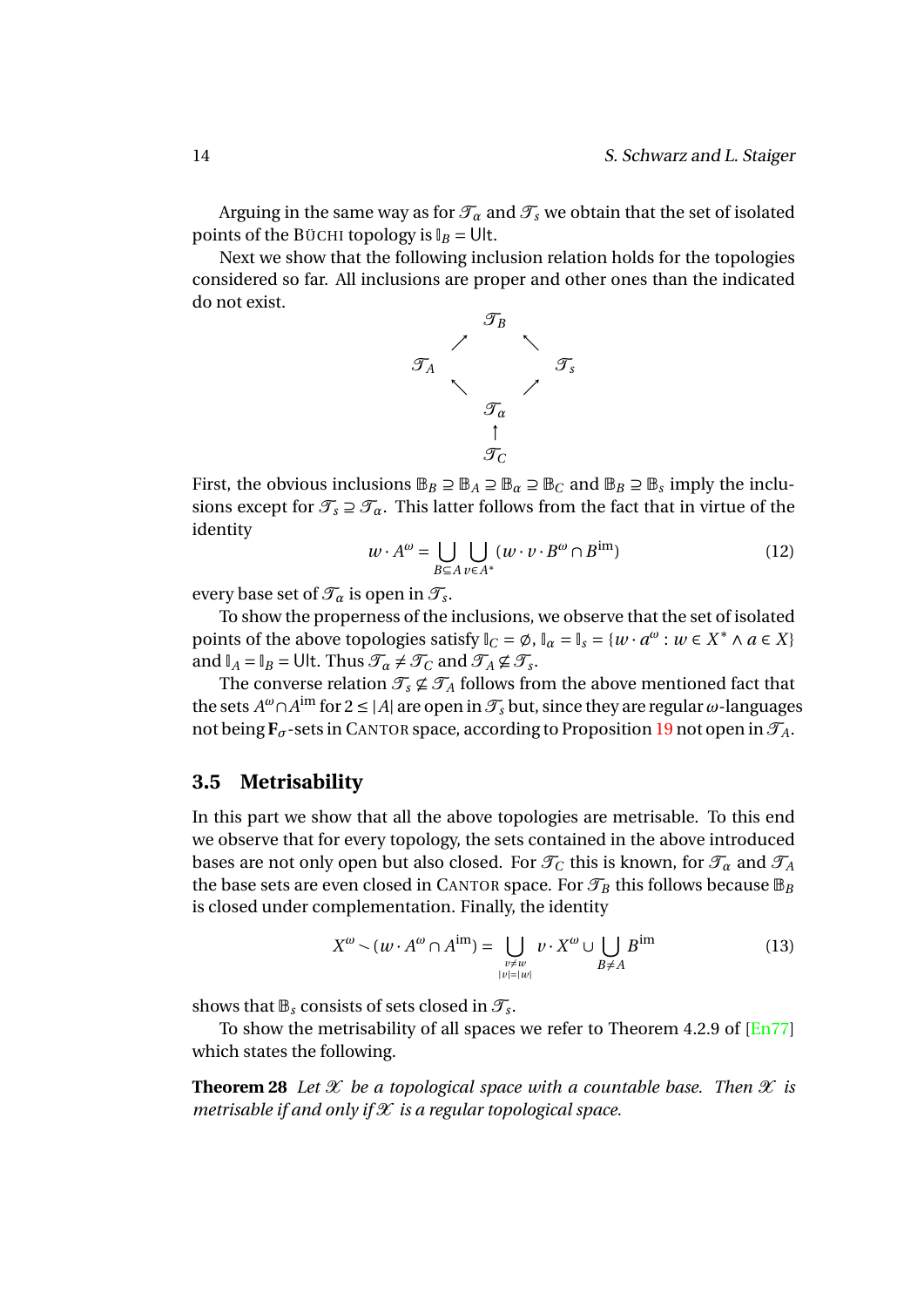Arguing in the same way as for  $\mathcal{T}_{\alpha}$  and  $\mathcal{T}_{s}$  we obtain that the set of isolated points of the BÜCHI topology is  $I_B = \bigcup I$ .

Next we show that the following inclusion relation holds for the topologies considered so far. All inclusions are proper and other ones than the indicated do not exist.



First, the obvious inclusions  $\mathbb{B}_B \supseteq \mathbb{B}_A \supseteq \mathbb{B}_\alpha \supseteq \mathbb{B}_C$  and  $\mathbb{B}_B \supseteq \mathbb{B}_s$  imply the inclusions except for  $\mathcal{T}_s \supseteq \mathcal{T}_\alpha$ . This latter follows from the fact that in virtue of the identity

$$
w \cdot A^{\omega} = \bigcup_{B \subseteq A} \bigcup_{v \in A^*} (w \cdot v \cdot B^{\omega} \cap B^{\text{im}})
$$
 (12)

every base set of  $\mathcal{T}_{\alpha}$  is open in  $\mathcal{T}_{s}$ .

To show the properness of the inclusions, we observe that the set of isolated points of the above topologies satisfy  $\mathbb{I}_C = \emptyset$ ,  $\mathbb{I}_\alpha = \mathbb{I}_s = \{w \cdot a^{\omega} : w \in X^* \land a \in X\}$ and  $I_A = I_B = \text{Ult. Thus } \mathcal{T}_\alpha \neq \mathcal{T}_C$  and  $\mathcal{T}_A \nsubseteq \mathcal{T}_s$ .

The converse relation  $\mathcal{T}_s \not\subseteq \mathcal{T}_A$  follows from the above mentioned fact that the sets  $A^{\omega} \cap A^{\text{im}}$  for  $2 \leq |A|$  are open in  $\mathcal{T}_s$  but, since they are regular  $\omega$ -languages not being  $\mathbf{F}_{\sigma}$ -sets in CANTOR space, according to Proposition [19](#page-11-2) not open in  $\mathcal{T}_A$ .

#### <span id="page-14-0"></span>**3.5 Metrisability**

In this part we show that all the above topologies are metrisable. To this end we observe that for every topology, the sets contained in the above introduced bases are not only open but also closed. For  $\mathcal{T}_C$  this is known, for  $\mathcal{T}_\alpha$  and  $\mathcal{T}_A$ the base sets are even closed in CANTOR space. For  $\mathcal{T}_B$  this follows because  $\mathbb{B}_B$ is closed under complementation. Finally, the identity

$$
X^{\omega} \sim (w \cdot A^{\omega} \cap A^{\text{im}}) = \bigcup_{\substack{\nu \neq w \\ |\nu| = |\nu|}} v \cdot X^{\omega} \cup \bigcup_{B \neq A} B^{\text{im}}
$$
(13)

shows that  $\mathbb{B}_s$  consists of sets closed in  $\mathcal{T}_s$ .

To show the metrisability of all spaces we refer to Theorem 4.2.9 of [\[En77\]](#page-18-11) which states the following.

**Theorem 28** Let  $\mathcal X$  be a topological space with a countable base. Then  $\mathcal X$  is *metrisable if and only if*  $X$  *is a regular topological space.*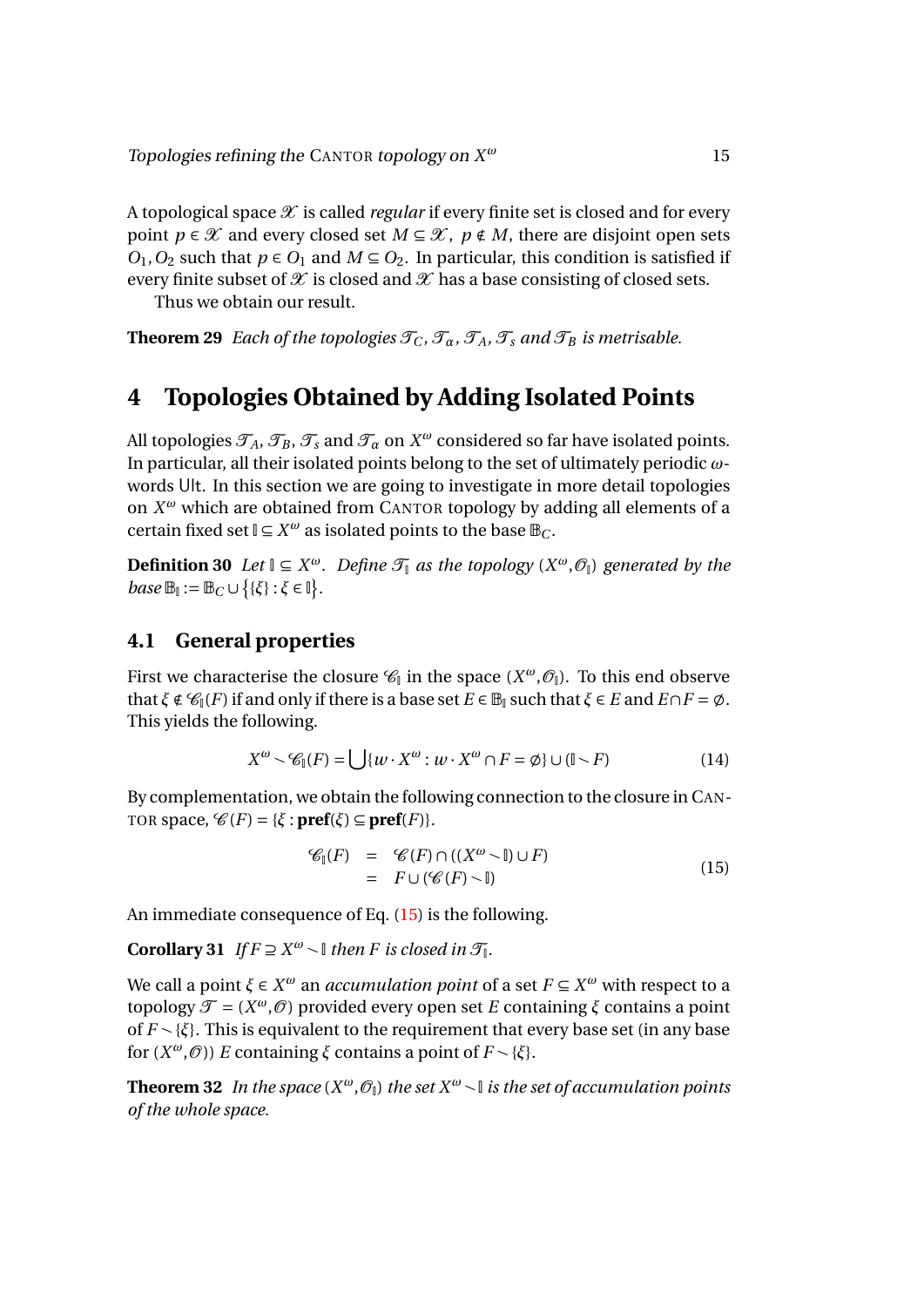A topological space  $\mathscr X$  is called *regular* if every finite set is closed and for every point *p*  $\in \mathcal{X}$  and every closed set *M*  $\subseteq \mathcal{X}$ , *p*  $\notin M$ , there are disjoint open sets  $O_1$ ,  $O_2$  such that  $p \in O_1$  and  $M \subseteq O_2$ . In particular, this condition is satisfied if every finite subset of  $\mathcal X$  is closed and  $\mathcal X$  has a base consisting of closed sets.

<span id="page-15-3"></span>Thus we obtain our result.

**Theorem 29** *Each of the topologies*  $\mathcal{T}_C$ *,*  $\mathcal{T}_\alpha$ *,*  $\mathcal{T}_A$ *,*  $\mathcal{T}_s$  *and*  $\mathcal{T}_B$  *is metrisable.* 

# <span id="page-15-0"></span>**4 Topologies Obtained by Adding Isolated Points**

All topologies  $\mathcal{T}_A$ ,  $\mathcal{T}_B$ ,  $\mathcal{T}_s$  and  $\mathcal{T}_\alpha$  on  $X^\omega$  considered so far have isolated points. In particular, all their isolated points belong to the set of ultimately periodic *ω*words Ult. In this section we are going to investigate in more detail topologies on *X <sup>ω</sup>* which are obtained from CANTOR topology by adding all elements of a certain fixed set  $\mathbb{I} \subseteq X^{\omega}$  as isolated points to the base  $\mathbb{B}_C$ .

**Definition 30** *Let*  $\mathbb{I}$  ⊆  $X^{\omega}$ *. Define*  $\mathcal{T}_{\mathbb{I}}$  *as the topology*  $(X^{\omega}, \mathcal{O}_{\mathbb{I}})$  *generated by the base*  $\mathbb{B}_{\mathbb{I}} := \mathbb{B}_C \cup \{ \{\xi\} : \xi \in \mathbb{I} \}.$ 

# <span id="page-15-1"></span>**4.1 General properties**

First we characterise the closure  $\mathscr{C}_\mathbb{I}$  in the space  $(X^\omega,\mathscr{O}_\mathbb{I})$ . To this end observe that  $\xi \notin \mathcal{C}_\mathbb{I}(F)$  if and only if there is a base set  $E \in \mathbb{B}_\mathbb{I}$  such that  $\xi \in E$  and  $E \cap F = \emptyset$ . This yields the following.

$$
X^{\omega} \sim \mathscr{C}_{\mathbb{I}}(F) = \bigcup \{ w \cdot X^{\omega} : w \cdot X^{\omega} \cap F = \emptyset \} \cup (\mathbb{I} \setminus F) \tag{14}
$$

By complementation, we obtain the following connection to the closure in CAN-TOR space,  $\mathcal{C}(F) = {\xi : \textbf{pref}(\xi) \subseteq \textbf{pref}(F)}$ .

<span id="page-15-2"></span>
$$
\mathscr{C}_{\mathbb{I}}(F) = \mathscr{C}(F) \cap ((X^{\omega} \setminus \mathbb{I}) \cup F) \n= F \cup (\mathscr{C}(F) \setminus \mathbb{I})
$$
\n(15)

An immediate consequence of Eq. [\(15\)](#page-15-2) is the following.

**Corollary 31** *If*  $F \supseteq X^\omega \setminus \mathbb{I}$  *then F is closed in*  $\mathcal{T}_\mathbb{I}$ *.* 

We call a point  $\xi \in X^\omega$  an *accumulation point* of a set  $F \subseteq X^\omega$  with respect to a topology  $\mathcal{T} = (X^{\omega}, \mathcal{O})$  provided every open set *E* containing *ξ* contains a point of  $F \setminus \{\xi\}$ . This is equivalent to the requirement that every base set (in any base for  $(X^{\omega}, \mathcal{O})$ ) *E* containing *ξ* contains a point of  $F \setminus \{\xi\}$ .

**Theorem 32** In the space  $(X^{\omega}, \mathcal{O}_{\mathbb{I}})$  the set  $X^{\omega} \sim \mathbb{I}$  is the set of accumulation points *of the whole space.*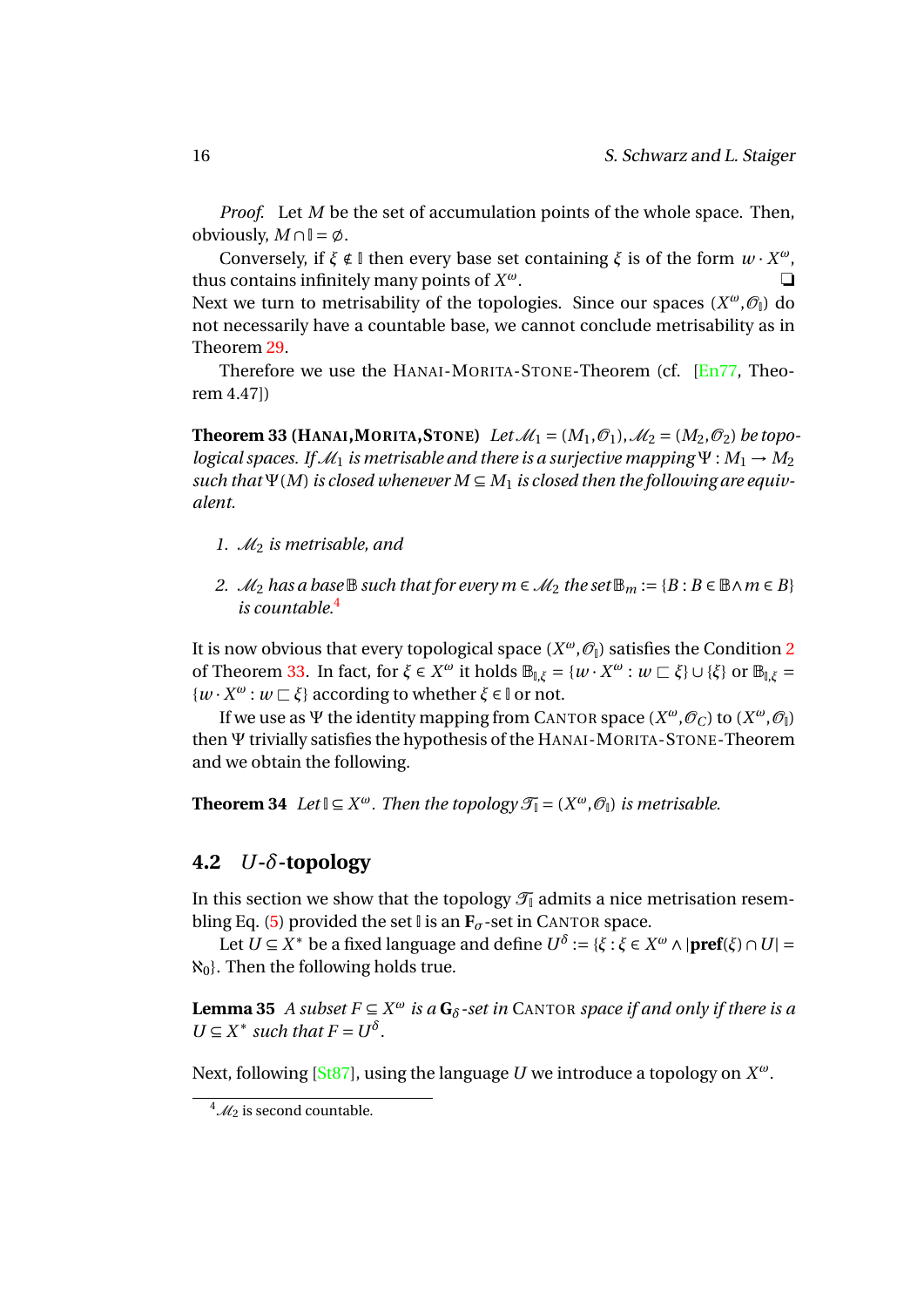*Proof.* Let *M* be the set of accumulation points of the whole space. Then, obviously,  $M \cap \mathbb{I} = \emptyset$ .

Conversely, if  $\xi \notin \mathbb{I}$  then every base set containing  $\xi$  is of the form  $w \cdot X^{\omega}$ , thus contains infinitely many points of  $X^{\omega}$ . *<sup>ω</sup>*. ❏ Next we turn to metrisability of the topologies. Since our spaces (*X<sup>ω</sup>, Θ*<sub>I</sub>) do not necessarily have a countable base, we cannot conclude metrisability as in Theorem [29.](#page-15-3)

<span id="page-16-3"></span>Therefore we use the HANAI-MORITA-STONE-Theorem (cf. [\[En77,](#page-18-11) Theorem 4.47])

**Theorem 33 (HANAI, MORITA, STONE)** *Let*  $\mathcal{M}_1 = (M_1, \mathcal{O}_1)$ ,  $\mathcal{M}_2 = (M_2, \mathcal{O}_2)$  *be topological spaces. If*  $\mathcal{M}_1$  *is metrisable and there is a surjective mapping*  $\Psi : M_1 \rightarrow M_2$ such that  $\Psi(M)$  is closed whenever  $M \subseteq M_1$  is closed then the following are equiv*alent.*

- *1.* M<sup>2</sup> *is metrisable, and*
- <span id="page-16-2"></span>*2. M*<sub>2</sub> *has a base* **B** *such that for every m* ∈ *M*<sub>2</sub> *the set*  $\mathbb{B}_m := \{B : B \in \mathbb{B} \land m \in B\}$ *is countable.*[4](#page-16-1)

It is now obvious that every topological space  $(X^{\omega}, \mathcal{O}_{\mathbb{I}})$  satisfies the Condition [2](#page-16-2) of Theorem [33.](#page-16-3) In fact, for *ξ* ∈  $X^ω$  it holds  $\mathbb{B}_{\mathbb{I},\xi} = \{w \cdot X^ω : w ⊂ \xi\} ∪ \{\xi\}$  or  $\mathbb{B}_{\mathbb{I},\xi} =$  $\{w \cdot X^{\omega} : w \sqsubset \xi\}$  according to whether  $\xi \in \mathbb{I}$  or not.

If we use as  $\Psi$  the identity mapping from CANTOR space  $(X^\omega, \mathscr{O}_C)$  to  $(X^\omega, \mathscr{O}_I)$ then Ψ trivially satisfies the hypothesis of the HANAI-MORITA-STONE-Theorem and we obtain the following.

**Theorem 34** *Let*  $\mathbb{I} \subseteq X^{\omega}$ *. Then the topology*  $\mathcal{T}_{\mathbb{I}} = (X^{\omega}, \mathcal{O}_{\mathbb{I}})$  *is metrisable.* 

### <span id="page-16-0"></span>**4.2** *U***-***δ***-topology**

In this section we show that the topology  $\mathcal{T}_{\mathbb{I}}$  admits a nice metrisation resem-bling Eq. [\(5\)](#page-5-7) provided the set  $\mathbb{I}$  is an  $\mathbf{F}_{\sigma}$ -set in CANTOR space.

Let  $U \subseteq X^*$  be a fixed language and define  $U^{\delta} := \{ \xi : \xi \in X^{\omega} \wedge |\textbf{pref}(\xi) \cap U| =$  $\aleph_0$ . Then the following holds true.

**Lemma 35** *A subset*  $F \subseteq X^{\omega}$  *is a*  $G_{\delta}$ -set *in* CANTOR *space if and only if there is a*  $U \subseteq X^*$  *such that*  $F = U^{\delta}$ .

Next, following [\[St87\]](#page-18-5), using the language *U* we introduce a topology on *X ω*.

<span id="page-16-1"></span> $^{4}$ *M*<sub>2</sub> is second countable.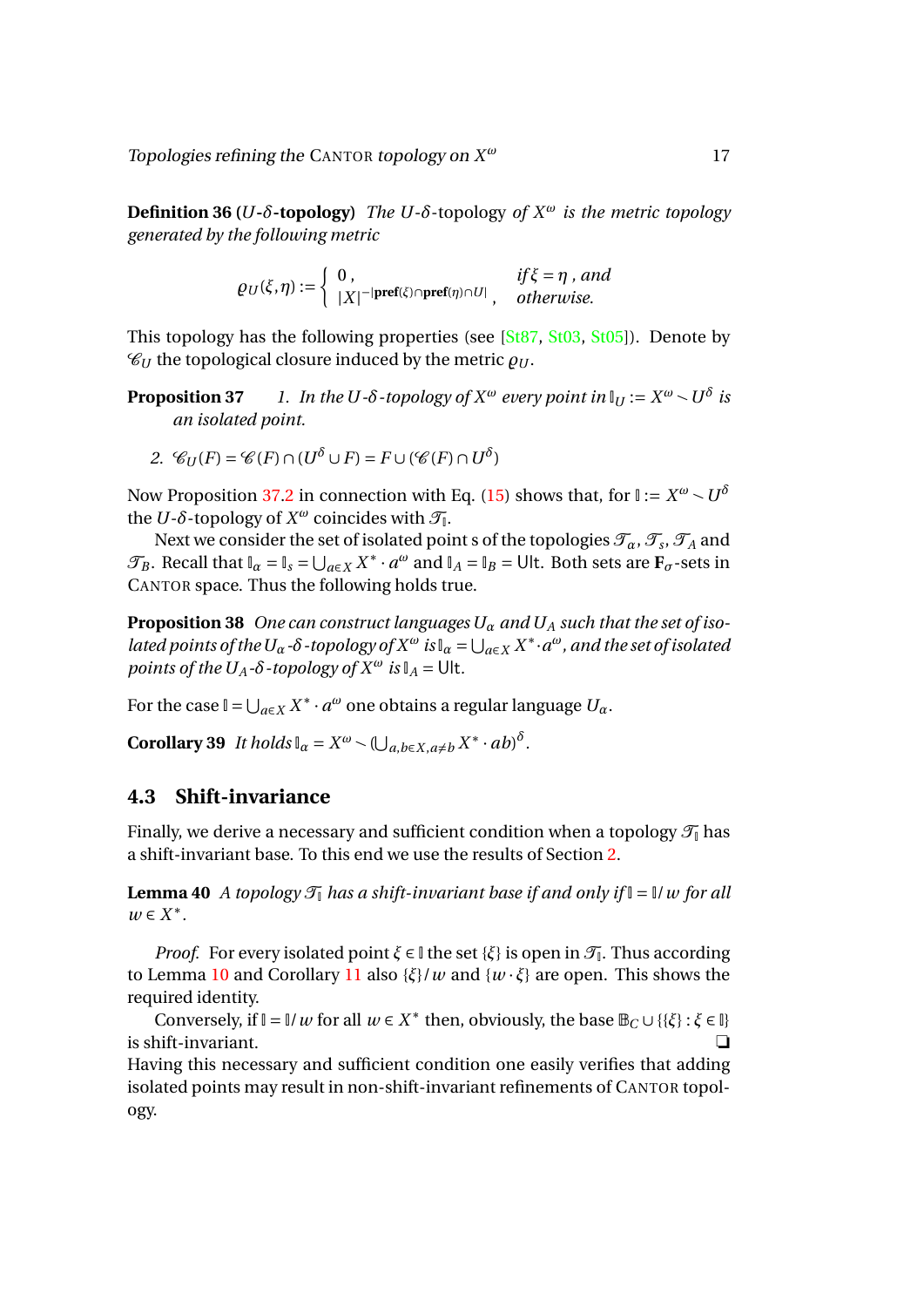Topologies refining the CANTOR topology on *X*

**Definition 36 (***U***-** $\delta$ **-topology**) *The U***-** $\delta$ -topology *of*  $X^{\omega}$  *is the metric topology generated by the following metric*

<span id="page-17-1"></span>
$$
\varrho_U(\xi,\eta) := \left\{ \begin{array}{ll} 0, & if \xi = \eta \ , \ and \\ |X|^{-|\textbf{pref}(\xi) \cap \textbf{pref}(\eta) \cap U|}, & otherwise. \end{array} \right.
$$

This topology has the following properties (see [\[St87,](#page-18-5) [St03,](#page-19-4) [St05\]](#page-19-3)). Denote by  $\mathcal{C}_U$  the topological closure induced by the metric  $\rho_U$ .

**Proposition 37**  $1.$  In the U-δ-topology of  $X^\omega$  every point in  $\mathbb{I}_U := X^\omega \smallsetminus U^\delta$  is *an isolated point.*

<span id="page-17-2"></span>2. 
$$
\mathcal{C}_U(F) = \mathcal{C}(F) \cap (U^\delta \cup F) = F \cup (\mathcal{C}(F) \cap U^\delta)
$$

Now Proposition [37.](#page-17-1)[2](#page-17-2) in connection with Eq. [\(15\)](#page-15-2) shows that, for  $\mathbb{I}:=X^\omega\smallsetminus U^\delta$ the *U*- $\delta$ -topology of  $X^{\omega}$  coincides with  $\mathcal{T}_{\mathbb{I}}$ .

Next we consider the set of isolated point s of the topologies  $\mathcal{T}_\alpha$  ,  $\mathcal{T}_s$  ,  $\mathcal{T}_A$  and  $\mathcal{T}_B$ . Recall that  $\mathbb{I}_\alpha = \mathbb{I}_s = \bigcup_{a \in X} X^* \cdot a^\omega$  and  $\mathbb{I}_A = \mathbb{I}_B = \bigcup \mathbb{I}$ . Both sets are  $\mathbf{F}_\sigma$ -sets in CANTOR space. Thus the following holds true.

**Proposition 38** *One can construct languages U<sup>α</sup> and U<sup>A</sup> such that the set of isolated points of the*  $U_\alpha$  - $\delta$  -topology of  $X^\omega$  is  $\mathbb{I}_\alpha = \bigcup_{a \in X} X^* \cdot a^\omega$ , and the set of isolated *points of the U<sub>A</sub>* $\text{-}\delta$ -*topology of*  $X^{\omega}$  *is*  $\mathbb{I}_A = \text{Ult}.$ 

For the case  $\mathbb{I} = \bigcup_{a \in X} X^* \cdot a^\omega$  one obtains a regular language  $U_\alpha$ .

**Corollary 39** *It holds*  $\mathbb{I}_\alpha = X^\omega \setminus (\bigcup_{a,b\in X, a\neq b} X^* \cdot ab)^\delta$ .

### <span id="page-17-0"></span>**4.3 Shift-invariance**

Finally, we derive a necessary and sufficient condition when a topology  $\mathcal{T}_{\parallel}$  has a shift-invariant base. To this end we use the results of Section [2.](#page-6-1)

**Lemma 40** *A topology*  $\mathcal{T}_{\parallel}$  *has a shift-invariant base if and only if*  $\parallel = \parallel / w$  *for all*  $w \in X^*$ .

*Proof.* For every isolated point  $\xi \in \mathbb{I}$  the set  $\{\xi\}$  is open in  $\mathcal{T}_\mathbb{I}$ . Thus according to Lemma [10](#page-8-1) and Corollary [11](#page-8-3) also  $\{\xi\}/w$  and  $\{w \cdot \xi\}$  are open. This shows the required identity.

Conversely, if  $\mathbb{I} = \mathbb{I}/w$  for all  $w \in X^*$  then, obviously, the base  $\mathbb{B}_C \cup \{\{\xi\} : \xi \in \mathbb{I}\}\$ is shift-invariant. ❏

Having this necessary and sufficient condition one easily verifies that adding isolated points may result in non-shift-invariant refinements of CANTOR topology.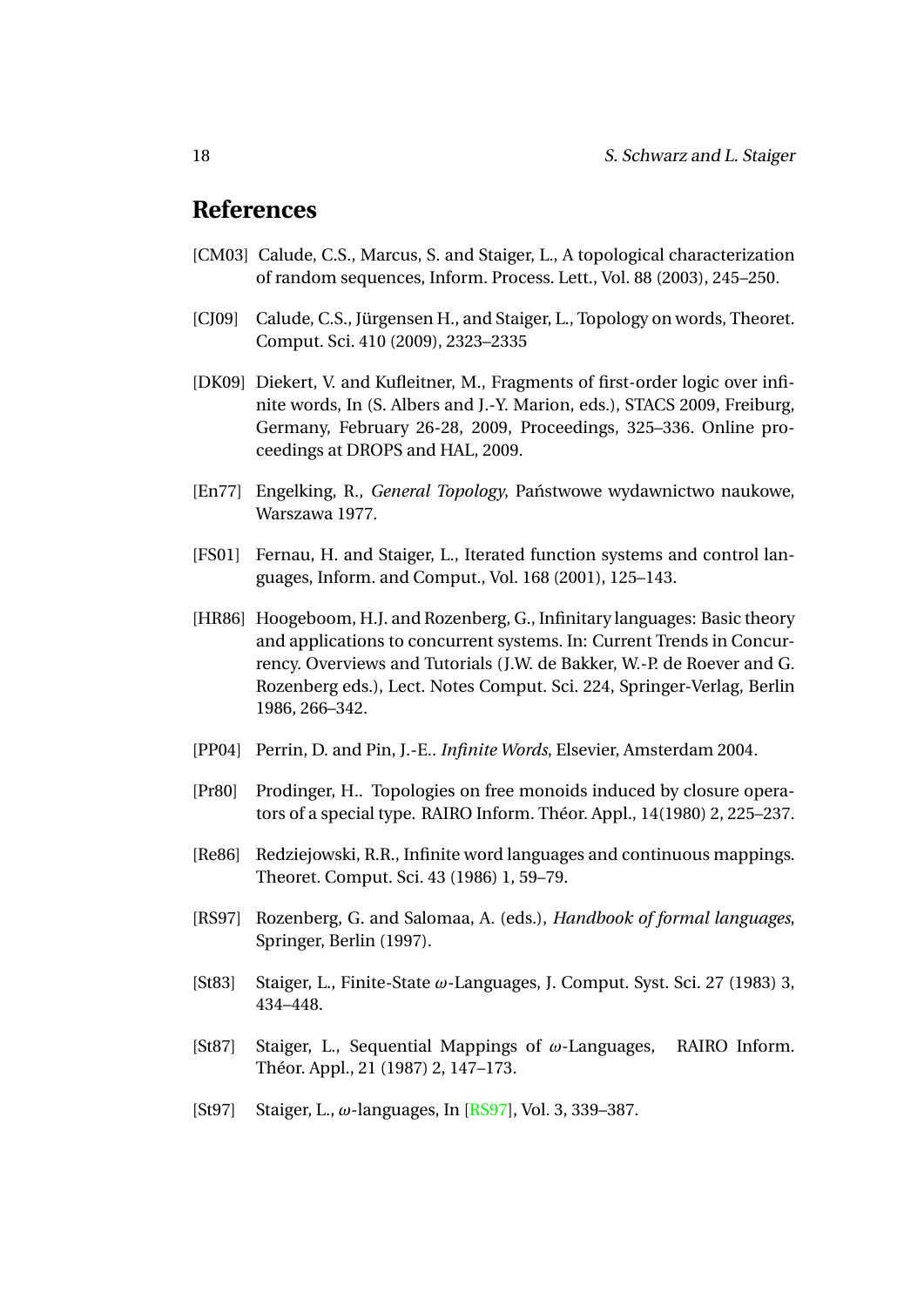# **References**

- <span id="page-18-7"></span>[CM03] Calude, C.S., Marcus, S. and Staiger, L., A topological characterization of random sequences, Inform. Process. Lett., Vol. 88 (2003), 245–250.
- <span id="page-18-3"></span>[CJ09] Calude, C.S., Jürgensen H., and Staiger, L., Topology on words, Theoret. Comput. Sci. 410 (2009), 2323–2335
- <span id="page-18-6"></span>[DK09] Diekert, V. and Kufleitner, M., Fragments of first-order logic over infinite words, In (S. Albers and J.-Y. Marion, eds.), STACS 2009, Freiburg, Germany, February 26-28, 2009, Proceedings, 325–336. Online proceedings at DROPS and HAL, 2009.
- <span id="page-18-11"></span>[En77] Engelking, R., *General Topology*, Państwowe wydawnictwo naukowe, Warszawa 1977.
- <span id="page-18-8"></span>[FS01] Fernau, H. and Staiger, L., Iterated function systems and control languages, Inform. and Comput., Vol. 168 (2001), 125–143.
- <span id="page-18-1"></span>[HR86] Hoogeboom, H.J. and Rozenberg, G., Infinitary languages: Basic theory and applications to concurrent systems. In: Current Trends in Concurrency. Overviews and Tutorials (J.W. de Bakker, W.-P. de Roever and G. Rozenberg eds.), Lect. Notes Comput. Sci. 224, Springer-Verlag, Berlin 1986, 266–342.
- <span id="page-18-0"></span>[PP04] Perrin, D. and Pin, J.-E.. *Infinite Words*, Elsevier, Amsterdam 2004.
- <span id="page-18-10"></span>[Pr80] Prodinger, H.. Topologies on free monoids induced by closure operators of a special type. RAIRO Inform. Théor. Appl., 14(1980) 2, 225–237.
- <span id="page-18-4"></span>[Re86] Redziejowski, R.R., Infinite word languages and continuous mappings. Theoret. Comput. Sci. 43 (1986) 1, 59–79.
- <span id="page-18-12"></span>[RS97] Rozenberg, G. and Salomaa, A. (eds.), *Handbook of formal languages*, Springer, Berlin (1997).
- <span id="page-18-9"></span>[St83] Staiger, L., Finite-State *ω*-Languages, J. Comput. Syst. Sci. 27 (1983) 3, 434–448.
- <span id="page-18-5"></span>[St87] Staiger, L., Sequential Mappings of *ω*-Languages, RAIRO Inform. Théor. Appl., 21 (1987) 2, 147–173.
- <span id="page-18-2"></span>[St97] Staiger, L., *ω*-languages, In [\[RS97\]](#page-18-12), Vol. 3, 339–387.